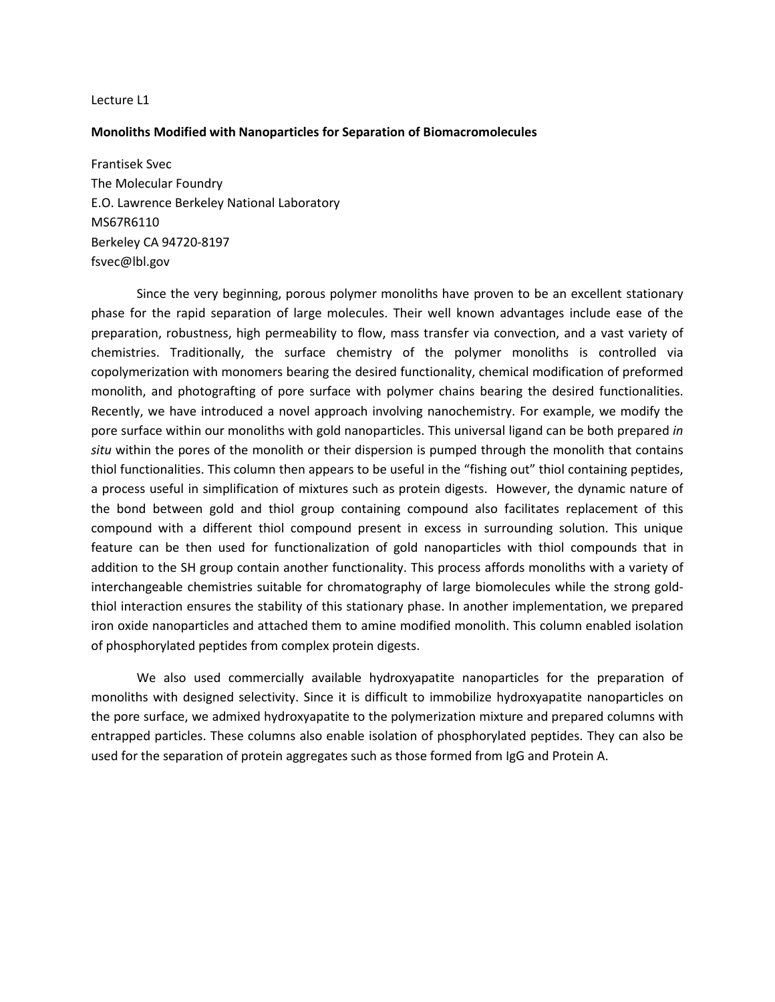#### **Monoliths Modified with Nanoparticles for Separation of Biomacromolecules**

Frantisek Svec The Molecular Foundry E.O. Lawrence Berkeley National Laboratory MS67R6110 Berkeley CA 94720-8197 fsvec@lbl.gov

Since the very beginning, porous polymer monoliths have proven to be an excellent stationary phase for the rapid separation of large molecules. Their well known advantages include ease of the preparation, robustness, high permeability to flow, mass transfer via convection, and a vast variety of chemistries. Traditionally, the surface chemistry of the polymer monoliths is controlled via copolymerization with monomers bearing the desired functionality, chemical modification of preformed monolith, and photografting of pore surface with polymer chains bearing the desired functionalities. Recently, we have introduced a novel approach involving nanochemistry. For example, we modify the pore surface within our monoliths with gold nanoparticles. This universal ligand can be both prepared *in situ* within the pores of the monolith or their dispersion is pumped through the monolith that contains thiol functionalities. This column then appears to be useful in the "fishing out" thiol containing peptides, a process useful in simplification of mixtures such as protein digests. However, the dynamic nature of the bond between gold and thiol group containing compound also facilitates replacement of this compound with a different thiol compound present in excess in surrounding solution. This unique feature can be then used for functionalization of gold nanoparticles with thiol compounds that in addition to the SH group contain another functionality. This process affords monoliths with a variety of interchangeable chemistries suitable for chromatography of large biomolecules while the strong goldthiol interaction ensures the stability of this stationary phase. In another implementation, we prepared iron oxide nanoparticles and attached them to amine modified monolith. This column enabled isolation of phosphorylated peptides from complex protein digests.

We also used commercially available hydroxyapatite nanoparticles for the preparation of monoliths with designed selectivity. Since it is difficult to immobilize hydroxyapatite nanoparticles on the pore surface, we admixed hydroxyapatite to the polymerization mixture and prepared columns with entrapped particles. These columns also enable isolation of phosphorylated peptides. They can also be used for the separation of protein aggregates such as those formed from IgG and Protein A.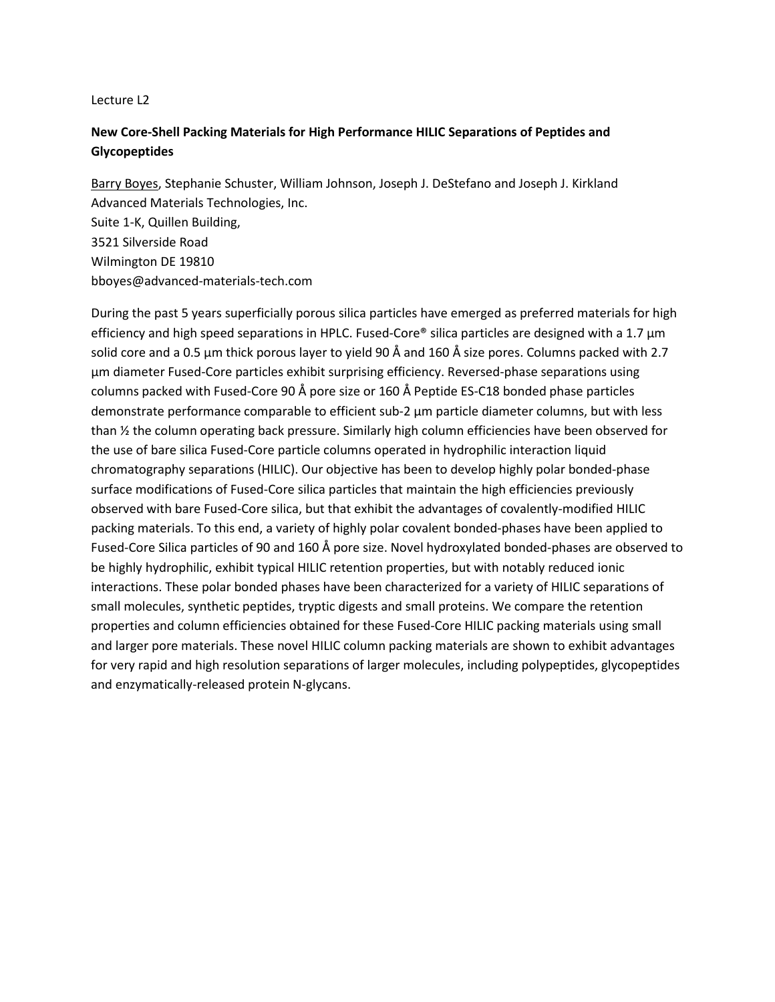# **New Core-Shell Packing Materials for High Performance HILIC Separations of Peptides and Glycopeptides**

Barry Boyes, Stephanie Schuster, William Johnson, Joseph J. DeStefano and Joseph J. Kirkland Advanced Materials Technologies, Inc. Suite 1-K, Quillen Building, 3521 Silverside Road Wilmington DE 19810 bboyes@advanced-materials-tech.com

During the past 5 years superficially porous silica particles have emerged as preferred materials for high efficiency and high speed separations in HPLC. Fused-Core® silica particles are designed with a 1.7  $\mu$ m solid core and a 0.5 µm thick porous layer to yield 90 Å and 160 Å size pores. Columns packed with 2.7 µm diameter Fused-Core particles exhibit surprising efficiency. Reversed-phase separations using columns packed with Fused-Core 90 Å pore size or 160 Å Peptide ES-C18 bonded phase particles demonstrate performance comparable to efficient sub-2 µm particle diameter columns, but with less than ½ the column operating back pressure. Similarly high column efficiencies have been observed for the use of bare silica Fused-Core particle columns operated in hydrophilic interaction liquid chromatography separations (HILIC). Our objective has been to develop highly polar bonded-phase surface modifications of Fused-Core silica particles that maintain the high efficiencies previously observed with bare Fused-Core silica, but that exhibit the advantages of covalently-modified HILIC packing materials. To this end, a variety of highly polar covalent bonded-phases have been applied to Fused-Core Silica particles of 90 and 160 Å pore size. Novel hydroxylated bonded-phases are observed to be highly hydrophilic, exhibit typical HILIC retention properties, but with notably reduced ionic interactions. These polar bonded phases have been characterized for a variety of HILIC separations of small molecules, synthetic peptides, tryptic digests and small proteins. We compare the retention properties and column efficiencies obtained for these Fused-Core HILIC packing materials using small and larger pore materials. These novel HILIC column packing materials are shown to exhibit advantages for very rapid and high resolution separations of larger molecules, including polypeptides, glycopeptides and enzymatically-released protein N-glycans.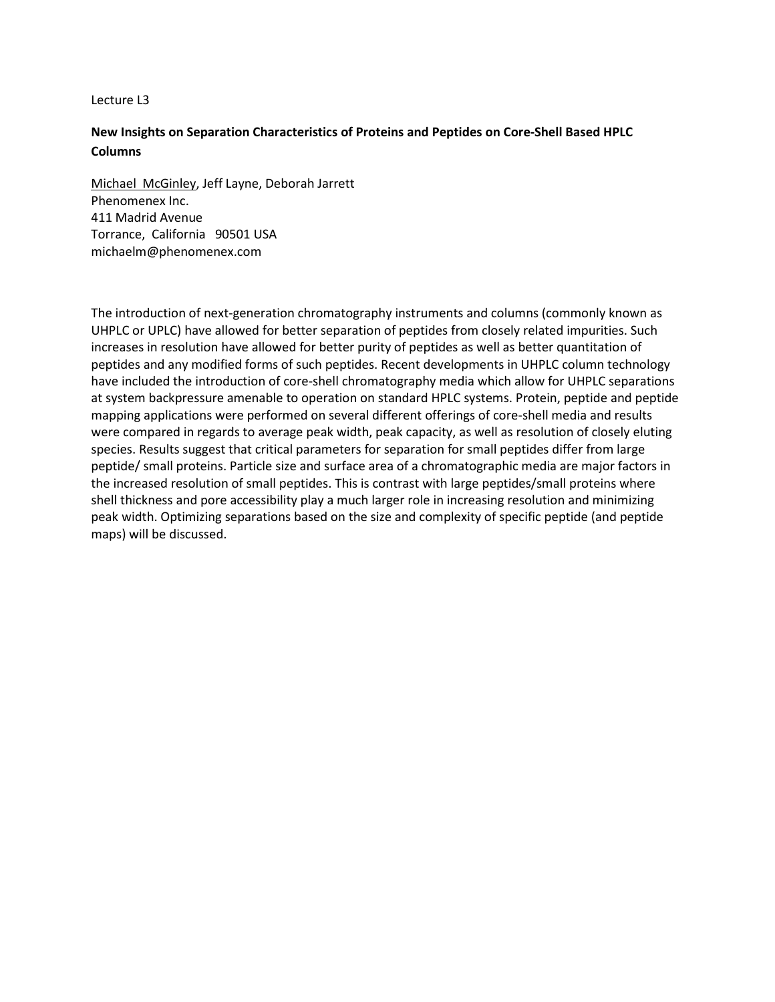# **New Insights on Separation Characteristics of Proteins and Peptides on Core-Shell Based HPLC Columns**

Michael McGinley, Jeff Layne, Deborah Jarrett Phenomenex Inc. 411 Madrid Avenue Torrance, California 90501 USA michaelm@phenomenex.com

The introduction of next-generation chromatography instruments and columns (commonly known as UHPLC or UPLC) have allowed for better separation of peptides from closely related impurities. Such increases in resolution have allowed for better purity of peptides as well as better quantitation of peptides and any modified forms of such peptides. Recent developments in UHPLC column technology have included the introduction of core-shell chromatography media which allow for UHPLC separations at system backpressure amenable to operation on standard HPLC systems. Protein, peptide and peptide mapping applications were performed on several different offerings of core-shell media and results were compared in regards to average peak width, peak capacity, as well as resolution of closely eluting species. Results suggest that critical parameters for separation for small peptides differ from large peptide/ small proteins. Particle size and surface area of a chromatographic media are major factors in the increased resolution of small peptides. This is contrast with large peptides/small proteins where shell thickness and pore accessibility play a much larger role in increasing resolution and minimizing peak width. Optimizing separations based on the size and complexity of specific peptide (and peptide maps) will be discussed.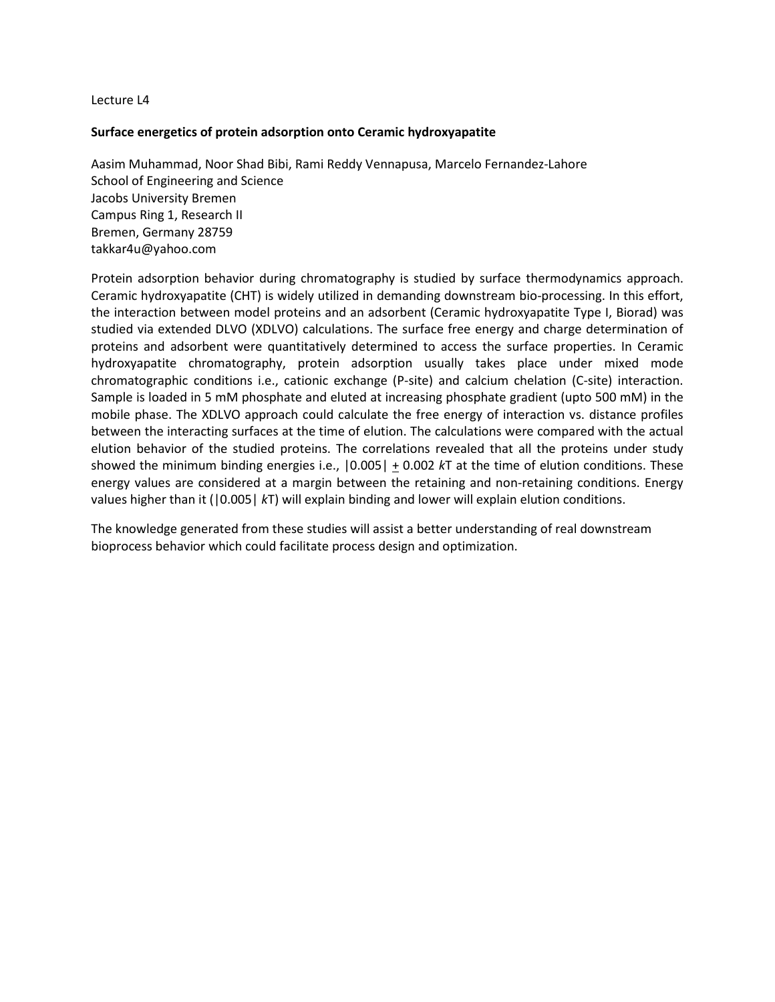# **Surface energetics of protein adsorption onto Ceramic hydroxyapatite**

Aasim Muhammad, Noor Shad Bibi, Rami Reddy Vennapusa, Marcelo Fernandez-Lahore School of Engineering and Science Jacobs University Bremen Campus Ring 1, Research II Bremen, Germany 28759 [takkar4u@yahoo.com](mailto:takkar4u@yahoo.com) 

Protein adsorption behavior during chromatography is studied by surface thermodynamics approach. Ceramic hydroxyapatite (CHT) is widely utilized in demanding downstream bio-processing. In this effort, the interaction between model proteins and an adsorbent (Ceramic hydroxyapatite Type I, Biorad) was studied via extended DLVO (XDLVO) calculations. The surface free energy and charge determination of proteins and adsorbent were quantitatively determined to access the surface properties. In Ceramic hydroxyapatite chromatography, protein adsorption usually takes place under mixed mode chromatographic conditions i.e., cationic exchange (P-site) and calcium chelation (C-site) interaction. Sample is loaded in 5 mM phosphate and eluted at increasing phosphate gradient (upto 500 mM) in the mobile phase. The XDLVO approach could calculate the free energy of interaction vs. distance profiles between the interacting surfaces at the time of elution. The calculations were compared with the actual elution behavior of the studied proteins. The correlations revealed that all the proteins under study showed the minimum binding energies i.e., |0.005| + 0.002 *k*T at the time of elution conditions. These energy values are considered at a margin between the retaining and non-retaining conditions. Energy values higher than it (|0.005| *k*T) will explain binding and lower will explain elution conditions.

The knowledge generated from these studies will assist a better understanding of real downstream bioprocess behavior which could facilitate process design and optimization.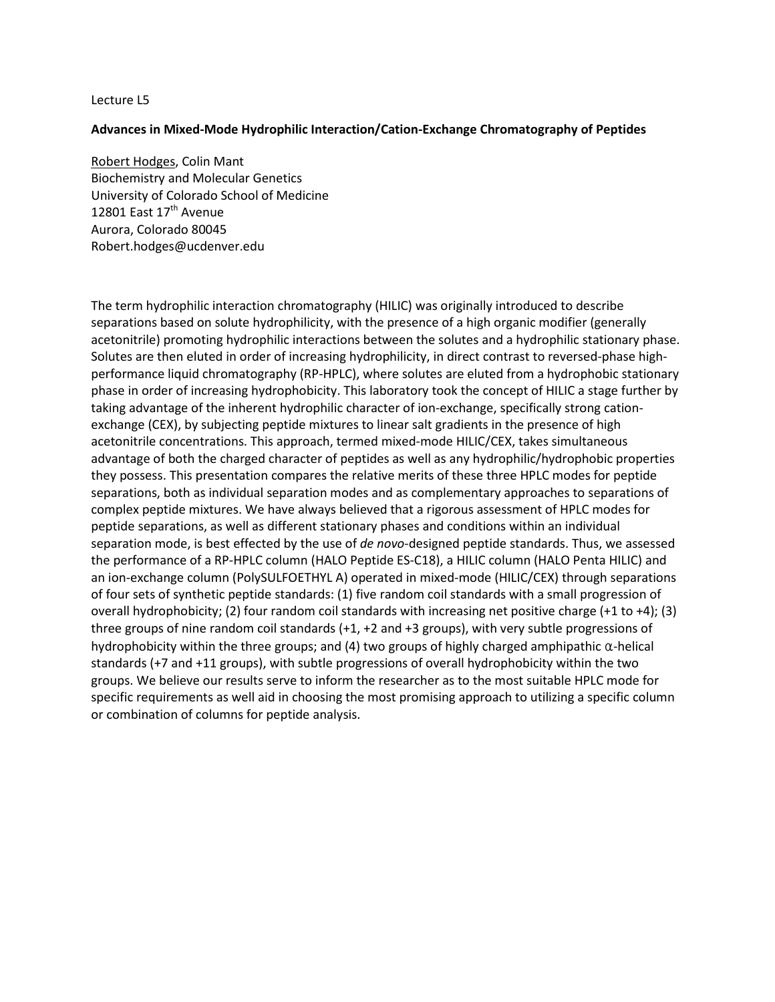## **Advances in Mixed-Mode Hydrophilic Interaction/Cation-Exchange Chromatography of Peptides**

Robert Hodges, Colin Mant Biochemistry and Molecular Genetics University of Colorado School of Medicine 12801 East  $17<sup>th</sup>$  Avenue Aurora, Colorado 80045 [Robert.hodges@ucdenver.edu](mailto:Robert.hodges@ucdenver.edu) 

The term hydrophilic interaction chromatography (HILIC) was originally introduced to describe separations based on solute hydrophilicity, with the presence of a high organic modifier (generally acetonitrile) promoting hydrophilic interactions between the solutes and a hydrophilic stationary phase. Solutes are then eluted in order of increasing hydrophilicity, in direct contrast to reversed-phase highperformance liquid chromatography (RP-HPLC), where solutes are eluted from a hydrophobic stationary phase in order of increasing hydrophobicity. This laboratory took the concept of HILIC a stage further by taking advantage of the inherent hydrophilic character of ion-exchange, specifically strong cationexchange (CEX), by subjecting peptide mixtures to linear salt gradients in the presence of high acetonitrile concentrations. This approach, termed mixed-mode HILIC/CEX, takes simultaneous advantage of both the charged character of peptides as well as any hydrophilic/hydrophobic properties they possess. This presentation compares the relative merits of these three HPLC modes for peptide separations, both as individual separation modes and as complementary approaches to separations of complex peptide mixtures. We have always believed that a rigorous assessment of HPLC modes for peptide separations, as well as different stationary phases and conditions within an individual separation mode, is best effected by the use of *de novo*-designed peptide standards. Thus, we assessed the performance of a RP-HPLC column (HALO Peptide ES-C18), a HILIC column (HALO Penta HILIC) and an ion-exchange column (PolySULFOETHYL A) operated in mixed-mode (HILIC/CEX) through separations of four sets of synthetic peptide standards: (1) five random coil standards with a small progression of overall hydrophobicity; (2) four random coil standards with increasing net positive charge (+1 to +4); (3) three groups of nine random coil standards (+1, +2 and +3 groups), with very subtle progressions of hydrophobicity within the three groups; and (4) two groups of highly charged amphipathic α-helical standards (+7 and +11 groups), with subtle progressions of overall hydrophobicity within the two groups. We believe our results serve to inform the researcher as to the most suitable HPLC mode for specific requirements as well aid in choosing the most promising approach to utilizing a specific column or combination of columns for peptide analysis.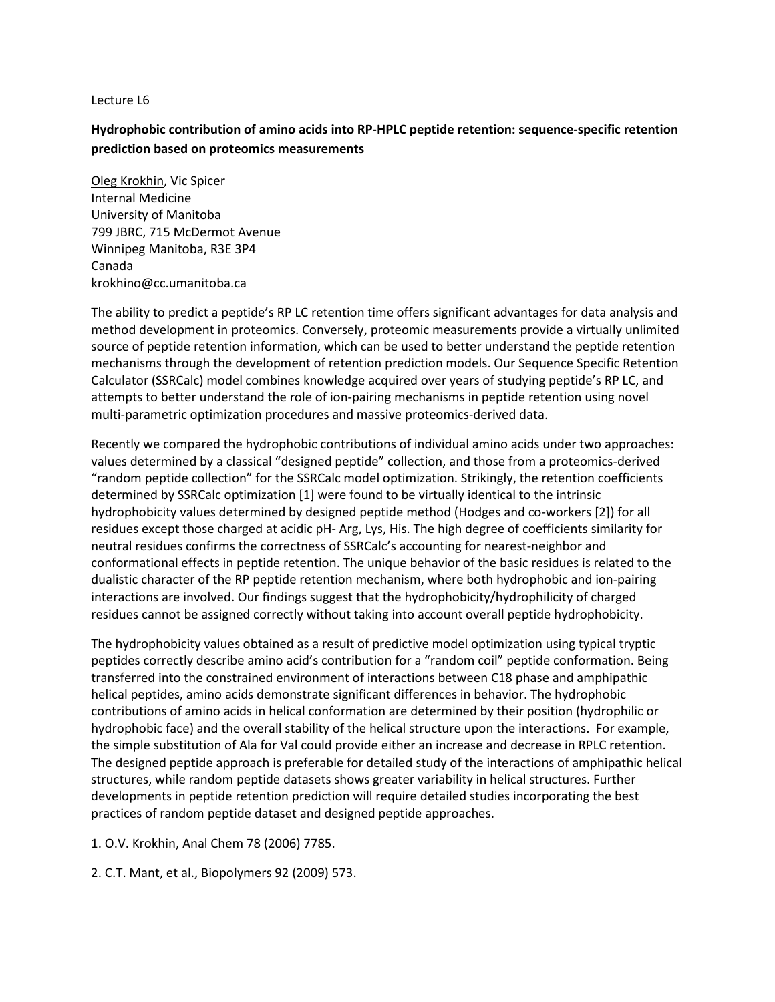# **Hydrophobic contribution of amino acids into RP-HPLC peptide retention: sequence-specific retention prediction based on proteomics measurements**

Oleg Krokhin, Vic Spicer Internal Medicine University of Manitoba 799 JBRC, 715 McDermot Avenue Winnipeg Manitoba, R3E 3P4 Canada krokhino@cc.umanitoba.ca

The ability to predict a peptide's RP LC retention time offers significant advantages for data analysis and method development in proteomics. Conversely, proteomic measurements provide a virtually unlimited source of peptide retention information, which can be used to better understand the peptide retention mechanisms through the development of retention prediction models. Our Sequence Specific Retention Calculator (SSRCalc) model combines knowledge acquired over years of studying peptide's RP LC, and attempts to better understand the role of ion-pairing mechanisms in peptide retention using novel multi-parametric optimization procedures and massive proteomics-derived data.

Recently we compared the hydrophobic contributions of individual amino acids under two approaches: values determined by a classical "designed peptide" collection, and those from a proteomics-derived "random peptide collection" for the SSRCalc model optimization. Strikingly, the retention coefficients determined by SSRCalc optimization [1] were found to be virtually identical to the intrinsic hydrophobicity values determined by designed peptide method (Hodges and co-workers [2]) for all residues except those charged at acidic pH- Arg, Lys, His. The high degree of coefficients similarity for neutral residues confirms the correctness of SSRCalc's accounting for nearest-neighbor and conformational effects in peptide retention. The unique behavior of the basic residues is related to the dualistic character of the RP peptide retention mechanism, where both hydrophobic and ion-pairing interactions are involved. Our findings suggest that the hydrophobicity/hydrophilicity of charged residues cannot be assigned correctly without taking into account overall peptide hydrophobicity.

The hydrophobicity values obtained as a result of predictive model optimization using typical tryptic peptides correctly describe amino acid's contribution for a "random coil" peptide conformation. Being transferred into the constrained environment of interactions between C18 phase and amphipathic helical peptides, amino acids demonstrate significant differences in behavior. The hydrophobic contributions of amino acids in helical conformation are determined by their position (hydrophilic or hydrophobic face) and the overall stability of the helical structure upon the interactions. For example, the simple substitution of Ala for Val could provide either an increase and decrease in RPLC retention. The designed peptide approach is preferable for detailed study of the interactions of amphipathic helical structures, while random peptide datasets shows greater variability in helical structures. Further developments in peptide retention prediction will require detailed studies incorporating the best practices of random peptide dataset and designed peptide approaches.

1. O.V. Krokhin, Anal Chem 78 (2006) 7785.

2. C.T. Mant, et al., Biopolymers 92 (2009) 573.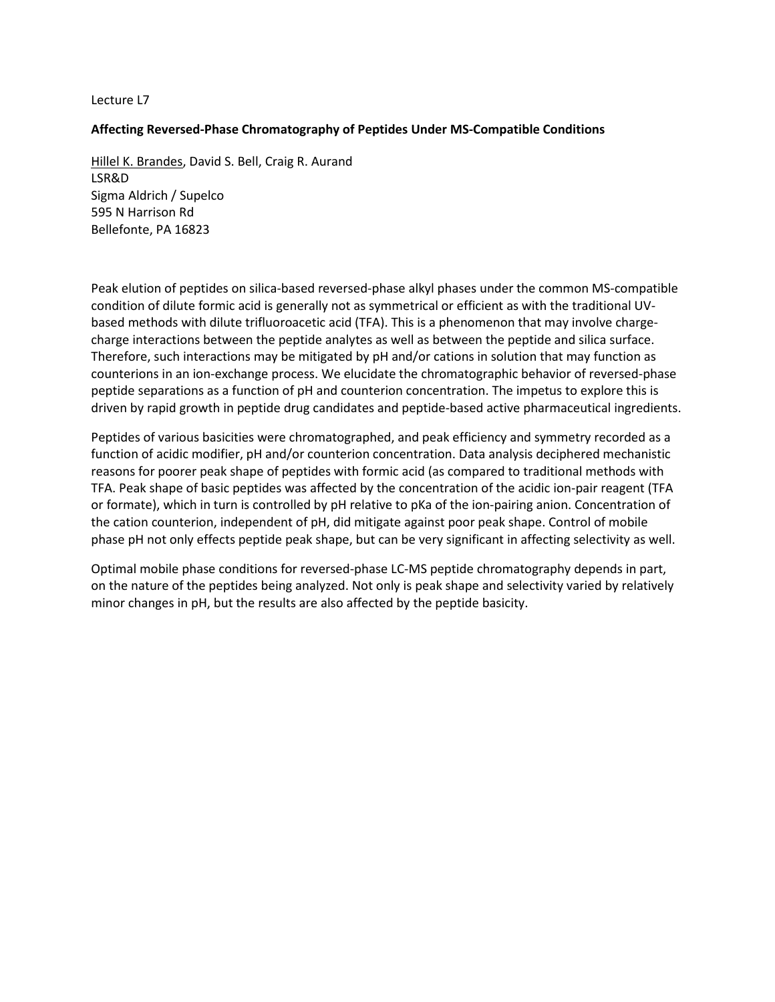# **Affecting Reversed-Phase Chromatography of Peptides Under MS-Compatible Conditions**

Hillel K. Brandes, David S. Bell, Craig R. Aurand LSR&D Sigma Aldrich / Supelco 595 N Harrison Rd Bellefonte, PA 16823

Peak elution of peptides on silica-based reversed-phase alkyl phases under the common MS-compatible condition of dilute formic acid is generally not as symmetrical or efficient as with the traditional UVbased methods with dilute trifluoroacetic acid (TFA). This is a phenomenon that may involve chargecharge interactions between the peptide analytes as well as between the peptide and silica surface. Therefore, such interactions may be mitigated by pH and/or cations in solution that may function as counterions in an ion-exchange process. We elucidate the chromatographic behavior of reversed-phase peptide separations as a function of pH and counterion concentration. The impetus to explore this is driven by rapid growth in peptide drug candidates and peptide-based active pharmaceutical ingredients.

Peptides of various basicities were chromatographed, and peak efficiency and symmetry recorded as a function of acidic modifier, pH and/or counterion concentration. Data analysis deciphered mechanistic reasons for poorer peak shape of peptides with formic acid (as compared to traditional methods with TFA. Peak shape of basic peptides was affected by the concentration of the acidic ion-pair reagent (TFA or formate), which in turn is controlled by pH relative to pKa of the ion-pairing anion. Concentration of the cation counterion, independent of pH, did mitigate against poor peak shape. Control of mobile phase pH not only effects peptide peak shape, but can be very significant in affecting selectivity as well.

Optimal mobile phase conditions for reversed-phase LC-MS peptide chromatography depends in part, on the nature of the peptides being analyzed. Not only is peak shape and selectivity varied by relatively minor changes in pH, but the results are also affected by the peptide basicity.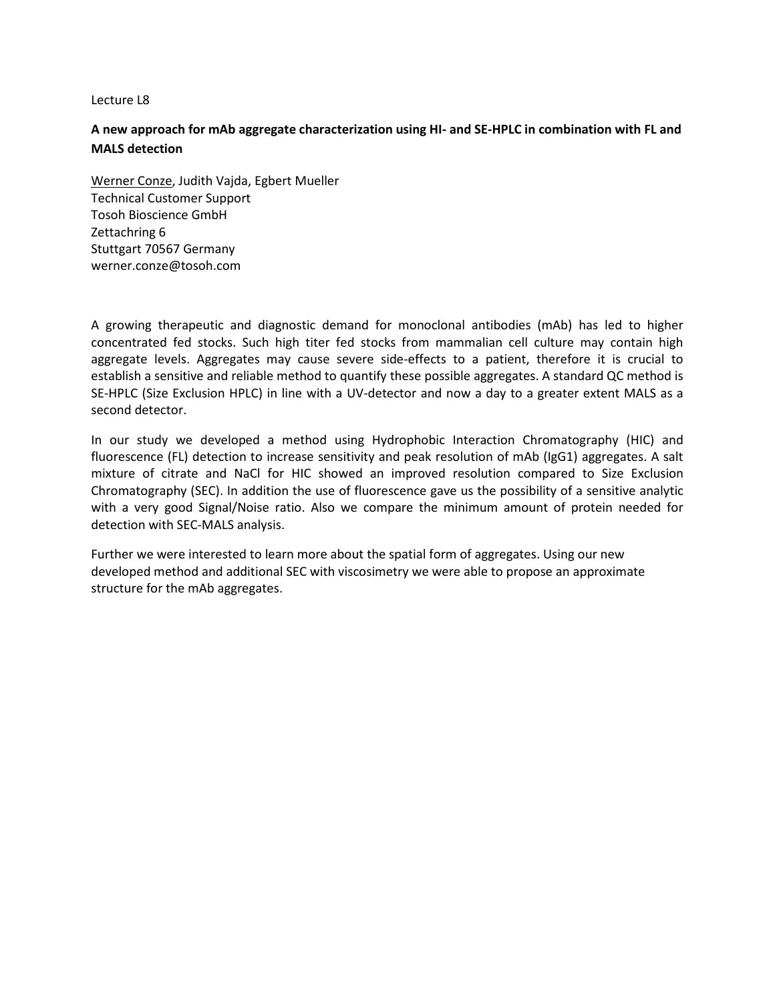# **A new approach for mAb aggregate characterization using HI- and SE-HPLC in combination with FL and MALS detection**

Werner Conze, Judith Vajda, Egbert Mueller Technical Customer Support Tosoh Bioscience GmbH Zettachring 6 Stuttgart 70567 Germany werner.conze@tosoh.com

A growing therapeutic and diagnostic demand for monoclonal antibodies (mAb) has led to higher concentrated fed stocks. Such high titer fed stocks from mammalian cell culture may contain high aggregate levels. Aggregates may cause severe side-effects to a patient, therefore it is crucial to establish a sensitive and reliable method to quantify these possible aggregates. A standard QC method is SE-HPLC (Size Exclusion HPLC) in line with a UV-detector and now a day to a greater extent MALS as a second detector.

In our study we developed a method using Hydrophobic Interaction Chromatography (HIC) and fluorescence (FL) detection to increase sensitivity and peak resolution of mAb (IgG1) aggregates. A salt mixture of citrate and NaCl for HIC showed an improved resolution compared to Size Exclusion Chromatography (SEC). In addition the use of fluorescence gave us the possibility of a sensitive analytic with a very good Signal/Noise ratio. Also we compare the minimum amount of protein needed for detection with SEC-MALS analysis.

Further we were interested to learn more about the spatial form of aggregates. Using our new developed method and additional SEC with viscosimetry we were able to propose an approximate structure for the mAb aggregates.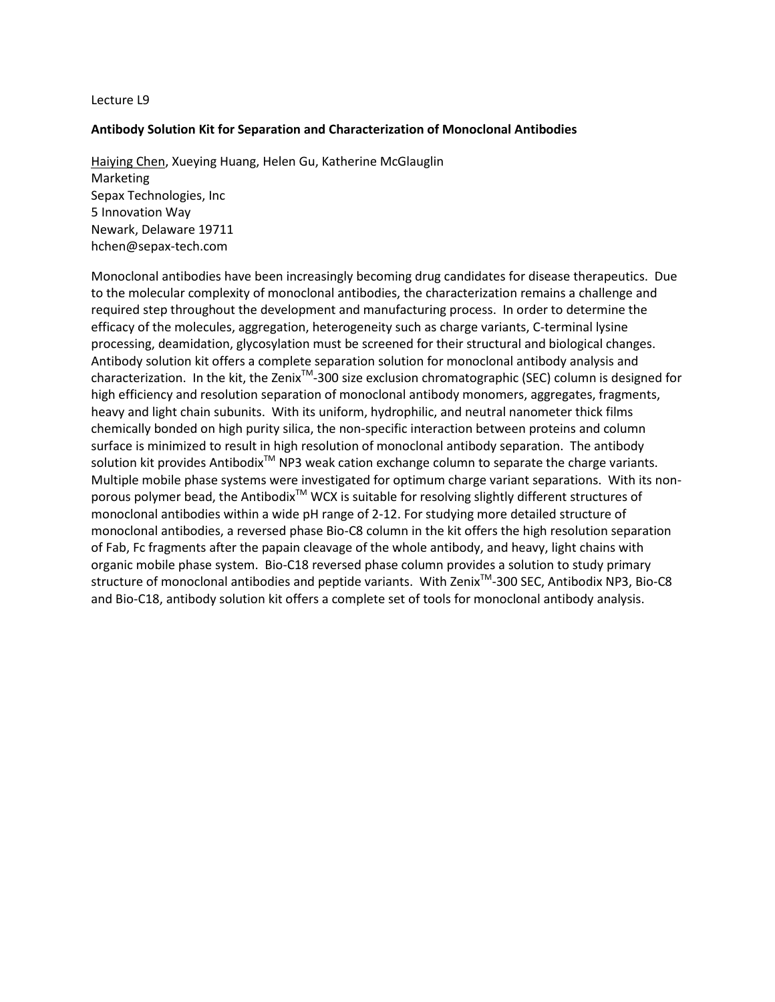## **Antibody Solution Kit for Separation and Characterization of Monoclonal Antibodies**

Haiying Chen, Xueying Huang, Helen Gu, Katherine McGlauglin Marketing Sepax Technologies, Inc 5 Innovation Way Newark, Delaware 19711 [hchen@sepax-tech.com](mailto:hchen@sepax-tech.com)

Monoclonal antibodies have been increasingly becoming drug candidates for disease therapeutics. Due to the molecular complexity of monoclonal antibodies, the characterization remains a challenge and required step throughout the development and manufacturing process. In order to determine the efficacy of the molecules, aggregation, heterogeneity such as charge variants, C-terminal lysine processing, deamidation, glycosylation must be screened for their structural and biological changes. Antibody solution kit offers a complete separation solution for monoclonal antibody analysis and characterization. In the kit, the Zenix<sup>™</sup>-300 size exclusion chromatographic (SEC) column is designed for high efficiency and resolution separation of monoclonal antibody monomers, aggregates, fragments, heavy and light chain subunits. With its uniform, hydrophilic, and neutral nanometer thick films chemically bonded on high purity silica, the non-specific interaction between proteins and column surface is minimized to result in high resolution of monoclonal antibody separation. The antibody solution kit provides Antibodix<sup>TM</sup> NP3 weak cation exchange column to separate the charge variants. Multiple mobile phase systems were investigated for optimum charge variant separations. With its nonporous polymer bead, the Antibodix<sup>TM</sup> WCX is suitable for resolving slightly different structures of monoclonal antibodies within a wide pH range of 2-12. For studying more detailed structure of monoclonal antibodies, a reversed phase Bio-C8 column in the kit offers the high resolution separation of Fab, Fc fragments after the papain cleavage of the whole antibody, and heavy, light chains with organic mobile phase system. Bio-C18 reversed phase column provides a solution to study primary structure of monoclonal antibodies and peptide variants. With Zenix™-300 SEC, Antibodix NP3, Bio-C8 and Bio-C18, antibody solution kit offers a complete set of tools for monoclonal antibody analysis.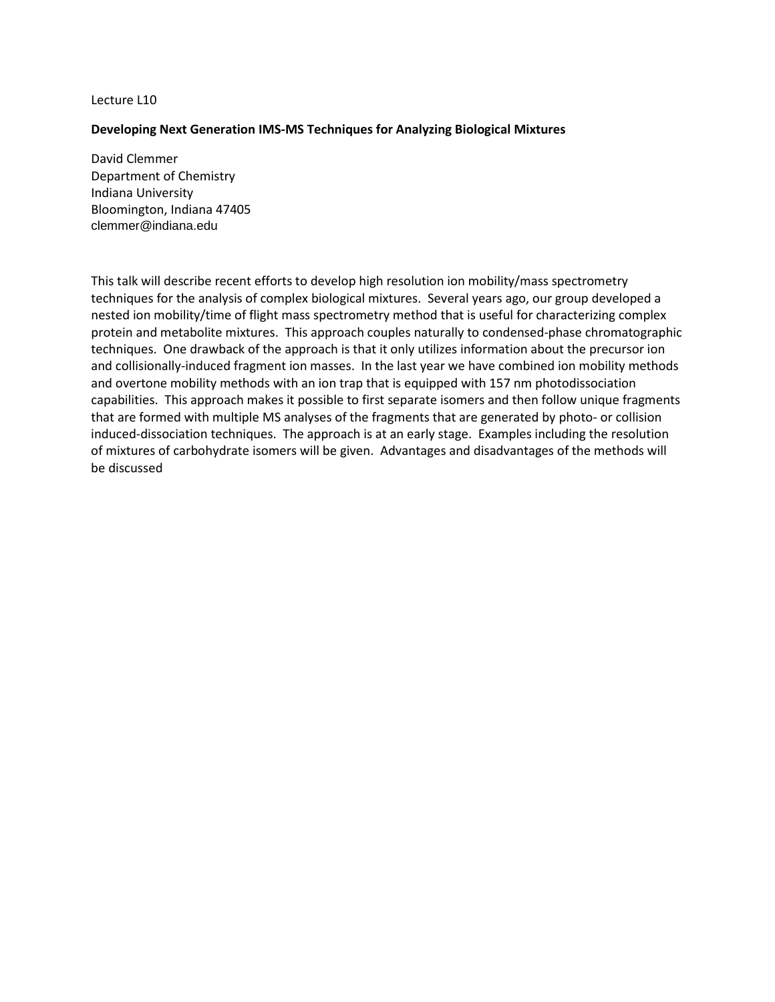## **Developing Next Generation IMS-MS Techniques for Analyzing Biological Mixtures**

David Clemmer Department of Chemistry Indiana University Bloomington, Indiana 47405 [clemmer@indiana.edu](mailto:clemmer@indiana.edu)

This talk will describe recent efforts to develop high resolution ion mobility/mass spectrometry techniques for the analysis of complex biological mixtures. Several years ago, our group developed a nested ion mobility/time of flight mass spectrometry method that is useful for characterizing complex protein and metabolite mixtures. This approach couples naturally to condensed-phase chromatographic techniques. One drawback of the approach is that it only utilizes information about the precursor ion and collisionally-induced fragment ion masses. In the last year we have combined ion mobility methods and overtone mobility methods with an ion trap that is equipped with 157 nm photodissociation capabilities. This approach makes it possible to first separate isomers and then follow unique fragments that are formed with multiple MS analyses of the fragments that are generated by photo- or collision induced-dissociation techniques. The approach is at an early stage. Examples including the resolution of mixtures of carbohydrate isomers will be given. Advantages and disadvantages of the methods will be discussed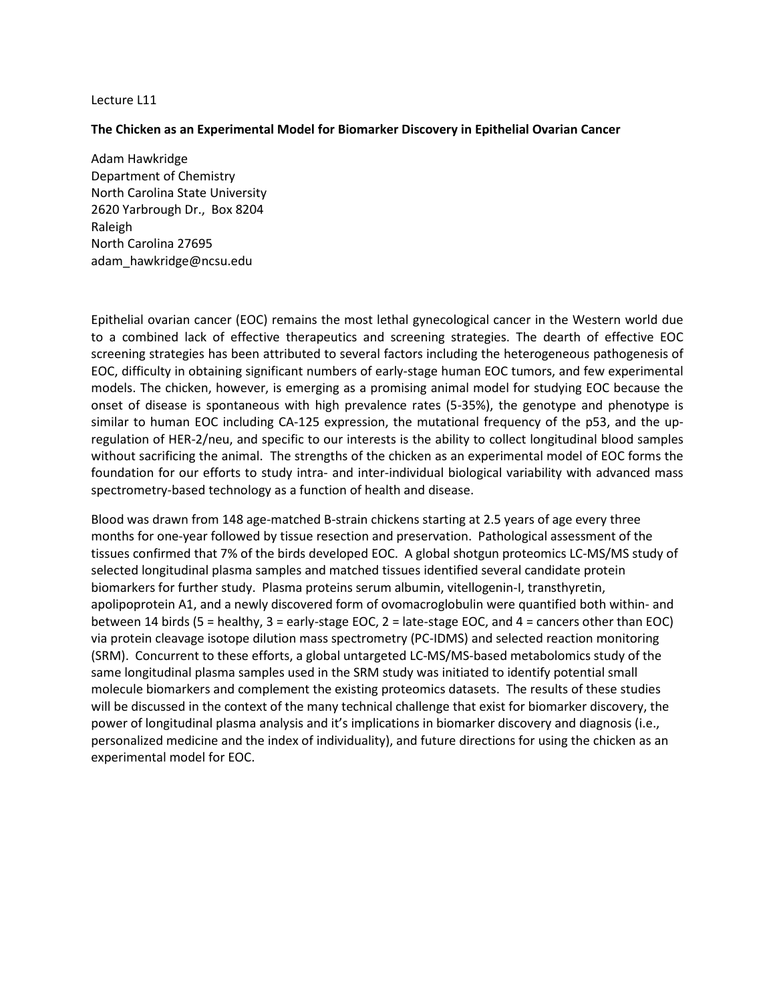### **The Chicken as an Experimental Model for Biomarker Discovery in Epithelial Ovarian Cancer**

Adam Hawkridge Department of Chemistry North Carolina State University 2620 Yarbrough Dr., Box 8204 Raleigh North Carolina 27695 [adam\\_hawkridge@ncsu.edu](mailto:adam_hawkridge@ncsu.edu)

Epithelial ovarian cancer (EOC) remains the most lethal gynecological cancer in the Western world due to a combined lack of effective therapeutics and screening strategies. The dearth of effective EOC screening strategies has been attributed to several factors including the heterogeneous pathogenesis of EOC, difficulty in obtaining significant numbers of early-stage human EOC tumors, and few experimental models. The chicken, however, is emerging as a promising animal model for studying EOC because the onset of disease is spontaneous with high prevalence rates (5-35%), the genotype and phenotype is similar to human EOC including CA-125 expression, the mutational frequency of the p53, and the upregulation of HER-2/neu, and specific to our interests is the ability to collect longitudinal blood samples without sacrificing the animal. The strengths of the chicken as an experimental model of EOC forms the foundation for our efforts to study intra- and inter-individual biological variability with advanced mass spectrometry-based technology as a function of health and disease.

Blood was drawn from 148 age-matched B-strain chickens starting at 2.5 years of age every three months for one-year followed by tissue resection and preservation. Pathological assessment of the tissues confirmed that 7% of the birds developed EOC. A global shotgun proteomics LC-MS/MS study of selected longitudinal plasma samples and matched tissues identified several candidate protein biomarkers for further study. Plasma proteins serum albumin, vitellogenin-I, transthyretin, apolipoprotein A1, and a newly discovered form of ovomacroglobulin were quantified both within- and between 14 birds (5 = healthy, 3 = early-stage EOC, 2 = late-stage EOC, and 4 = cancers other than EOC) via protein cleavage isotope dilution mass spectrometry (PC-IDMS) and selected reaction monitoring (SRM). Concurrent to these efforts, a global untargeted LC-MS/MS-based metabolomics study of the same longitudinal plasma samples used in the SRM study was initiated to identify potential small molecule biomarkers and complement the existing proteomics datasets. The results of these studies will be discussed in the context of the many technical challenge that exist for biomarker discovery, the power of longitudinal plasma analysis and it's implications in biomarker discovery and diagnosis (i.e., personalized medicine and the index of individuality), and future directions for using the chicken as an experimental model for EOC.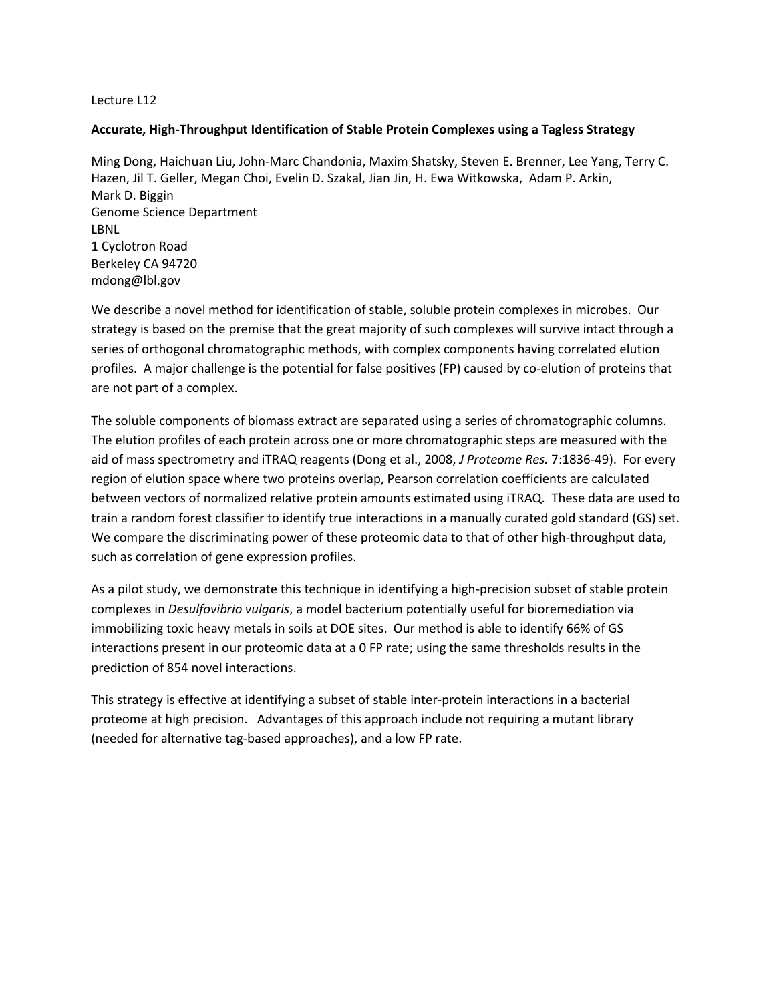# **Accurate, High-Throughput Identification of Stable Protein Complexes using a Tagless Strategy**

Ming Dong, Haichuan Liu, John-Marc Chandonia, Maxim Shatsky, Steven E. Brenner, Lee Yang, Terry C. Hazen, Jil T. Geller, Megan Choi, Evelin D. Szakal, Jian Jin, H. Ewa Witkowska, Adam P. Arkin, Mark D. Biggin Genome Science Department LBNL 1 Cyclotron Road Berkeley CA 94720 mdong@lbl.gov

We describe a novel method for identification of stable, soluble protein complexes in microbes. Our strategy is based on the premise that the great majority of such complexes will survive intact through a series of orthogonal chromatographic methods, with complex components having correlated elution profiles. A major challenge is the potential for false positives (FP) caused by co-elution of proteins that are not part of a complex.

The soluble components of biomass extract are separated using a series of chromatographic columns. The elution profiles of each protein across one or more chromatographic steps are measured with the aid of mass spectrometry and iTRAQ reagents (Dong et al., 2008, *J Proteome Res.* 7:1836-49). For every region of elution space where two proteins overlap, Pearson correlation coefficients are calculated between vectors of normalized relative protein amounts estimated using iTRAQ. These data are used to train a random forest classifier to identify true interactions in a manually curated gold standard (GS) set. We compare the discriminating power of these proteomic data to that of other high-throughput data, such as correlation of gene expression profiles.

As a pilot study, we demonstrate this technique in identifying a high-precision subset of stable protein complexes in *Desulfovibrio vulgaris*, a model bacterium potentially useful for bioremediation via immobilizing toxic heavy metals in soils at DOE sites. Our method is able to identify 66% of GS interactions present in our proteomic data at a 0 FP rate; using the same thresholds results in the prediction of 854 novel interactions.

This strategy is effective at identifying a subset of stable inter-protein interactions in a bacterial proteome at high precision. Advantages of this approach include not requiring a mutant library (needed for alternative tag-based approaches), and a low FP rate.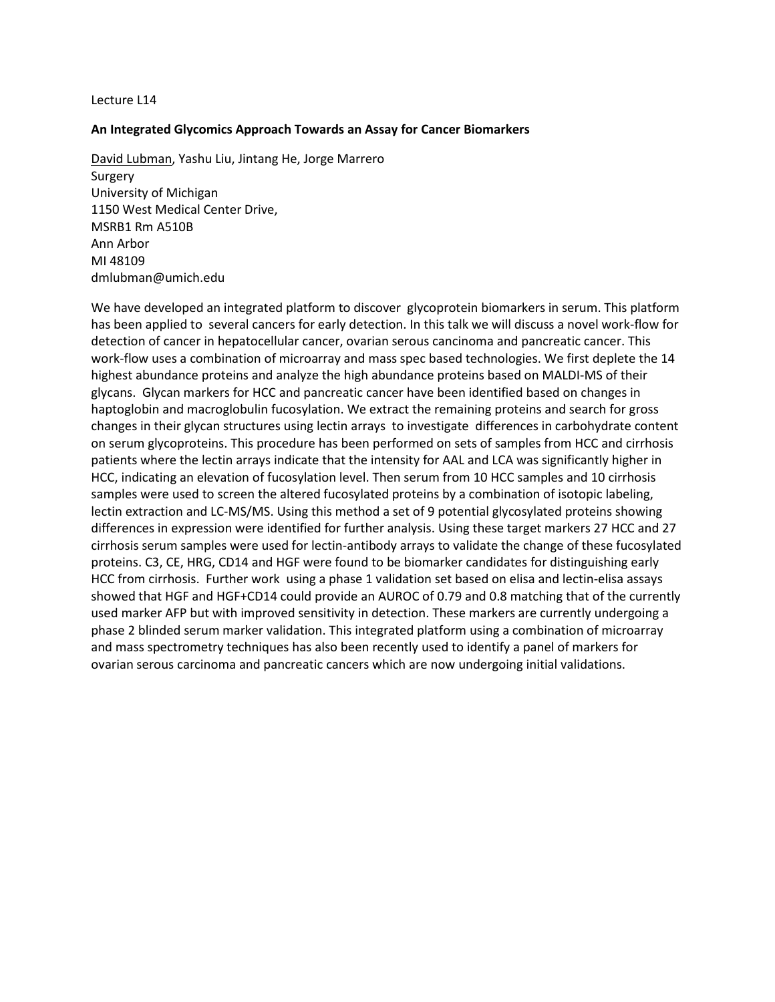### **An Integrated Glycomics Approach Towards an Assay for Cancer Biomarkers**

David Lubman, Yashu Liu, Jintang He, Jorge Marrero Surgery University of Michigan 1150 West Medical Center Drive, MSRB1 Rm A510B Ann Arbor MI 48109 [dmlubman@umich.edu](mailto:dmlubman@umich.edu)

We have developed an integrated platform to discover glycoprotein biomarkers in serum. This platform has been applied to several cancers for early detection. In this talk we will discuss a novel work-flow for detection of cancer in hepatocellular cancer, ovarian serous cancinoma and pancreatic cancer. This work-flow uses a combination of microarray and mass spec based technologies. We first deplete the 14 highest abundance proteins and analyze the high abundance proteins based on MALDI-MS of their glycans. Glycan markers for HCC and pancreatic cancer have been identified based on changes in haptoglobin and macroglobulin fucosylation. We extract the remaining proteins and search for gross changes in their glycan structures using lectin arrays to investigate differences in carbohydrate content on serum glycoproteins. This procedure has been performed on sets of samples from HCC and cirrhosis patients where the lectin arrays indicate that the intensity for AAL and LCA was significantly higher in HCC, indicating an elevation of fucosylation level. Then serum from 10 HCC samples and 10 cirrhosis samples were used to screen the altered fucosylated proteins by a combination of isotopic labeling, lectin extraction and LC-MS/MS. Using this method a set of 9 potential glycosylated proteins showing differences in expression were identified for further analysis. Using these target markers 27 HCC and 27 cirrhosis serum samples were used for lectin-antibody arrays to validate the change of these fucosylated proteins. C3, CE, HRG, CD14 and HGF were found to be biomarker candidates for distinguishing early HCC from cirrhosis. Further work using a phase 1 validation set based on elisa and lectin-elisa assays showed that HGF and HGF+CD14 could provide an AUROC of 0.79 and 0.8 matching that of the currently used marker AFP but with improved sensitivity in detection. These markers are currently undergoing a phase 2 blinded serum marker validation. This integrated platform using a combination of microarray and mass spectrometry techniques has also been recently used to identify a panel of markers for ovarian serous carcinoma and pancreatic cancers which are now undergoing initial validations.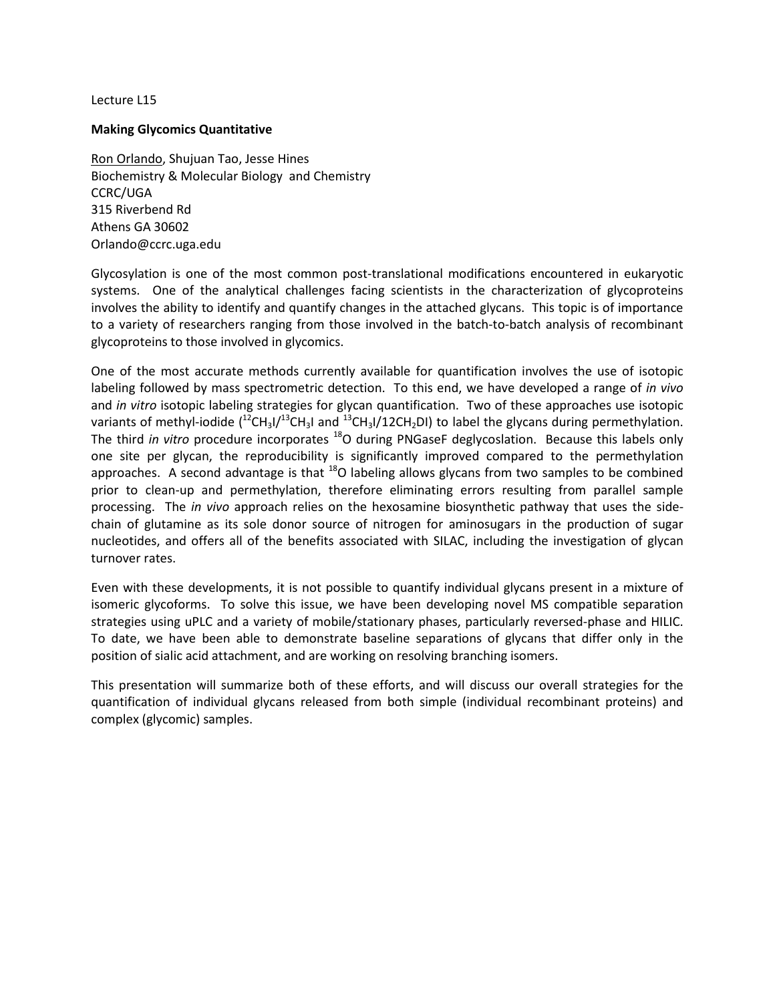# **Making Glycomics Quantitative**

Ron Orlando, Shujuan Tao, Jesse Hines Biochemistry & Molecular Biology and Chemistry CCRC/UGA 315 Riverbend Rd Athens GA 30602 Orlando@ccrc.uga.edu

Glycosylation is one of the most common post-translational modifications encountered in eukaryotic systems. One of the analytical challenges facing scientists in the characterization of glycoproteins involves the ability to identify and quantify changes in the attached glycans. This topic is of importance to a variety of researchers ranging from those involved in the batch-to-batch analysis of recombinant glycoproteins to those involved in glycomics.

One of the most accurate methods currently available for quantification involves the use of isotopic labeling followed by mass spectrometric detection. To this end, we have developed a range of *in vivo* and *in vitro* isotopic labeling strategies for glycan quantification. Two of these approaches use isotopic variants of methyl-iodide  $(^{12}CH_{3}I/^{13}CH_{3}I$  and  $^{13}CH_{3}I/12CH_{2}DI)$  to label the glycans during permethylation. The third *in vitro* procedure incorporates <sup>18</sup>O during PNGaseF deglycoslation. Because this labels only one site per glycan, the reproducibility is significantly improved compared to the permethylation approaches. A second advantage is that  $^{18}$ O labeling allows glycans from two samples to be combined prior to clean-up and permethylation, therefore eliminating errors resulting from parallel sample processing. The *in vivo* approach relies on the hexosamine biosynthetic pathway that uses the sidechain of glutamine as its sole donor source of nitrogen for aminosugars in the production of sugar nucleotides, and offers all of the benefits associated with SILAC, including the investigation of glycan turnover rates.

Even with these developments, it is not possible to quantify individual glycans present in a mixture of isomeric glycoforms. To solve this issue, we have been developing novel MS compatible separation strategies using uPLC and a variety of mobile/stationary phases, particularly reversed-phase and HILIC. To date, we have been able to demonstrate baseline separations of glycans that differ only in the position of sialic acid attachment, and are working on resolving branching isomers.

This presentation will summarize both of these efforts, and will discuss our overall strategies for the quantification of individual glycans released from both simple (individual recombinant proteins) and complex (glycomic) samples.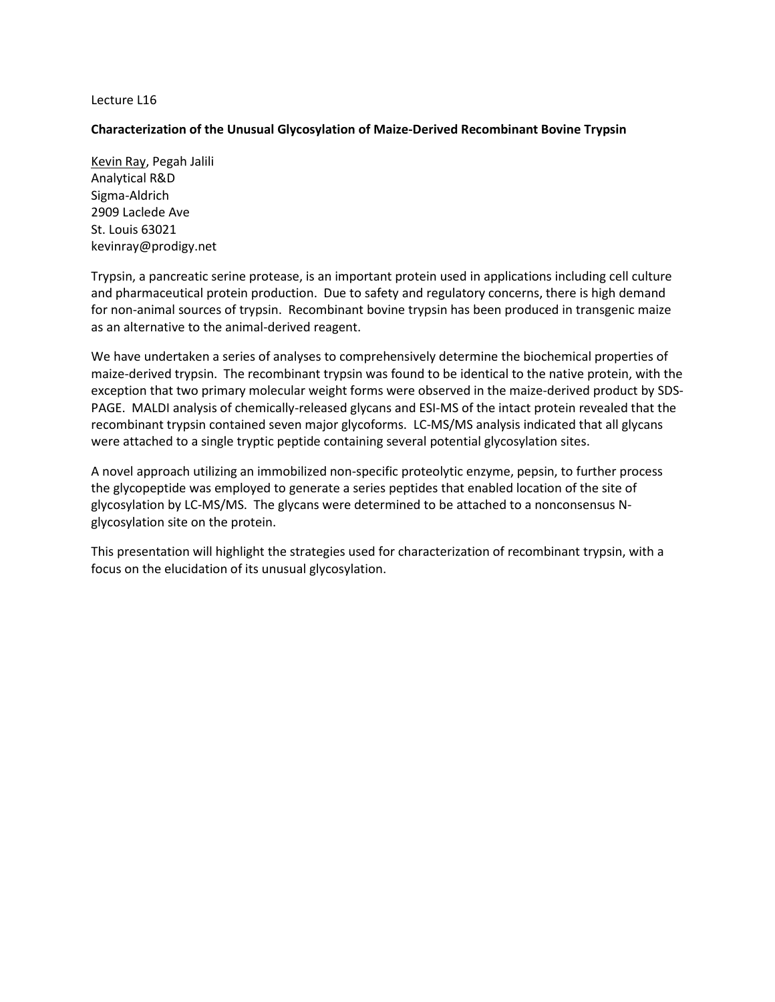# **Characterization of the Unusual Glycosylation of Maize-Derived Recombinant Bovine Trypsin**

Kevin Ray, Pegah Jalili Analytical R&D Sigma-Aldrich 2909 Laclede Ave St. Louis 63021 kevinray@prodigy.net

Trypsin, a pancreatic serine protease, is an important protein used in applications including cell culture and pharmaceutical protein production. Due to safety and regulatory concerns, there is high demand for non-animal sources of trypsin. Recombinant bovine trypsin has been produced in transgenic maize as an alternative to the animal-derived reagent.

We have undertaken a series of analyses to comprehensively determine the biochemical properties of maize-derived trypsin. The recombinant trypsin was found to be identical to the native protein, with the exception that two primary molecular weight forms were observed in the maize-derived product by SDS-PAGE. MALDI analysis of chemically-released glycans and ESI-MS of the intact protein revealed that the recombinant trypsin contained seven major glycoforms. LC-MS/MS analysis indicated that all glycans were attached to a single tryptic peptide containing several potential glycosylation sites.

A novel approach utilizing an immobilized non-specific proteolytic enzyme, pepsin, to further process the glycopeptide was employed to generate a series peptides that enabled location of the site of glycosylation by LC-MS/MS. The glycans were determined to be attached to a nonconsensus Nglycosylation site on the protein.

This presentation will highlight the strategies used for characterization of recombinant trypsin, with a focus on the elucidation of its unusual glycosylation.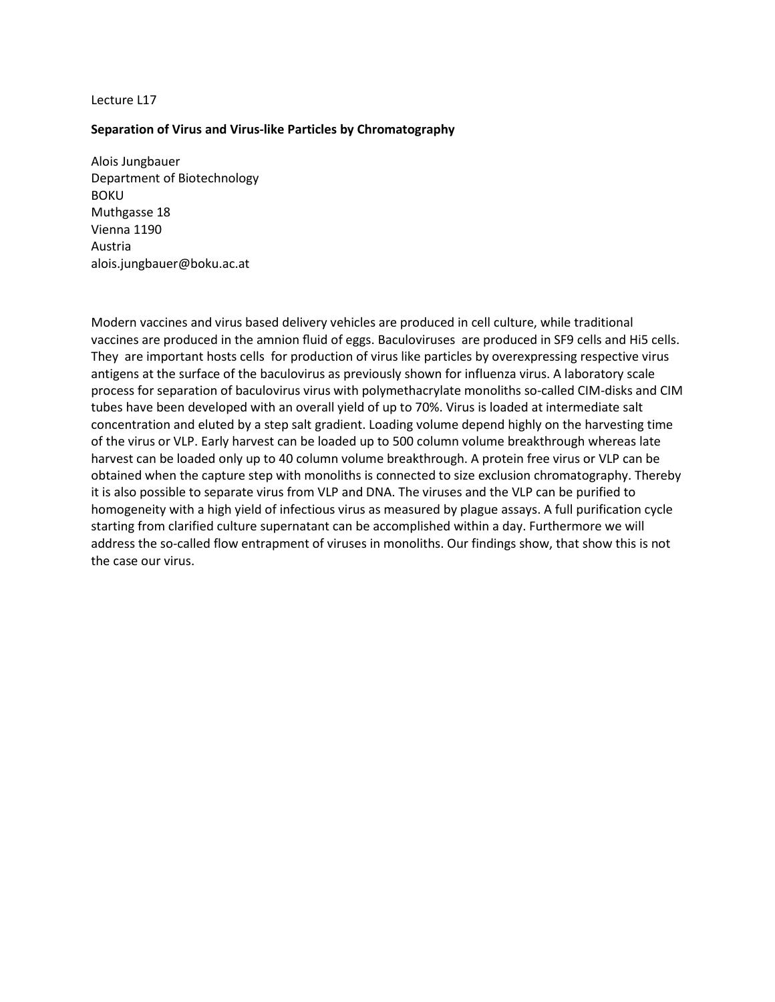## **Separation of Virus and Virus-like Particles by Chromatography**

Alois Jungbauer Department of Biotechnology BOKU Muthgasse 18 Vienna 1190 Austria [alois.jungbauer@boku.ac.at](mailto:alois.jungbauer@boku.ac.at)

Modern vaccines and virus based delivery vehicles are produced in cell culture, while traditional vaccines are produced in the amnion fluid of eggs. Baculoviruses are produced in SF9 cells and Hi5 cells. They are important hosts cells for production of virus like particles by overexpressing respective virus antigens at the surface of the baculovirus as previously shown for influenza virus. A laboratory scale process for separation of baculovirus virus with polymethacrylate monoliths so-called CIM-disks and CIM tubes have been developed with an overall yield of up to 70%. Virus is loaded at intermediate salt concentration and eluted by a step salt gradient. Loading volume depend highly on the harvesting time of the virus or VLP. Early harvest can be loaded up to 500 column volume breakthrough whereas late harvest can be loaded only up to 40 column volume breakthrough. A protein free virus or VLP can be obtained when the capture step with monoliths is connected to size exclusion chromatography. Thereby it is also possible to separate virus from VLP and DNA. The viruses and the VLP can be purified to homogeneity with a high yield of infectious virus as measured by plague assays. A full purification cycle starting from clarified culture supernatant can be accomplished within a day. Furthermore we will address the so-called flow entrapment of viruses in monoliths. Our findings show, that show this is not the case our virus.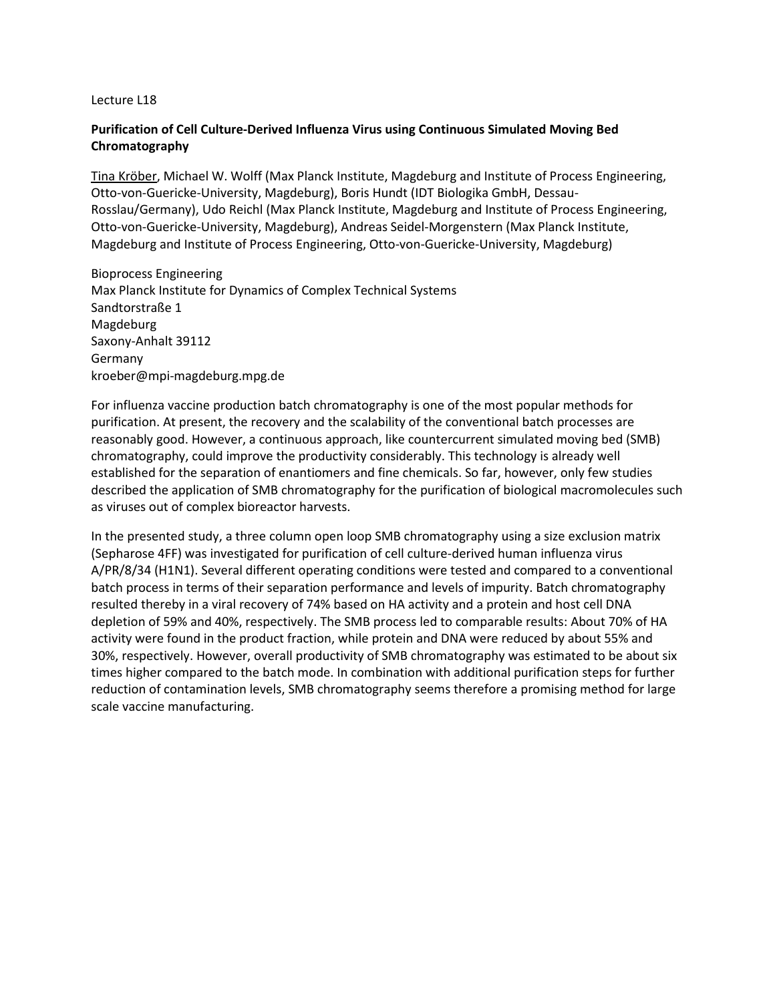# **Purification of Cell Culture-Derived Influenza Virus using Continuous Simulated Moving Bed Chromatography**

Tina Kröber, Michael W. Wolff (Max Planck Institute, Magdeburg and Institute of Process Engineering, Otto-von-Guericke-University, Magdeburg), Boris Hundt (IDT Biologika GmbH, Dessau-Rosslau/Germany), Udo Reichl (Max Planck Institute, Magdeburg and Institute of Process Engineering, Otto-von-Guericke-University, Magdeburg), Andreas Seidel-Morgenstern (Max Planck Institute, Magdeburg and Institute of Process Engineering, Otto-von-Guericke-University, Magdeburg)

Bioprocess Engineering Max Planck Institute for Dynamics of Complex Technical Systems Sandtorstraße 1 Magdeburg Saxony-Anhalt 39112 Germany [kroeber@mpi-magdeburg.mpg.de](mailto:kroeber@mpi-magdeburg.mpg.de)

For influenza vaccine production batch chromatography is one of the most popular methods for purification. At present, the recovery and the scalability of the conventional batch processes are reasonably good. However, a continuous approach, like countercurrent simulated moving bed (SMB) chromatography, could improve the productivity considerably. This technology is already well established for the separation of enantiomers and fine chemicals. So far, however, only few studies described the application of SMB chromatography for the purification of biological macromolecules such as viruses out of complex bioreactor harvests.

In the presented study, a three column open loop SMB chromatography using a size exclusion matrix (Sepharose 4FF) was investigated for purification of cell culture-derived human influenza virus A/PR/8/34 (H1N1). Several different operating conditions were tested and compared to a conventional batch process in terms of their separation performance and levels of impurity. Batch chromatography resulted thereby in a viral recovery of 74% based on HA activity and a protein and host cell DNA depletion of 59% and 40%, respectively. The SMB process led to comparable results: About 70% of HA activity were found in the product fraction, while protein and DNA were reduced by about 55% and 30%, respectively. However, overall productivity of SMB chromatography was estimated to be about six times higher compared to the batch mode. In combination with additional purification steps for further reduction of contamination levels, SMB chromatography seems therefore a promising method for large scale vaccine manufacturing.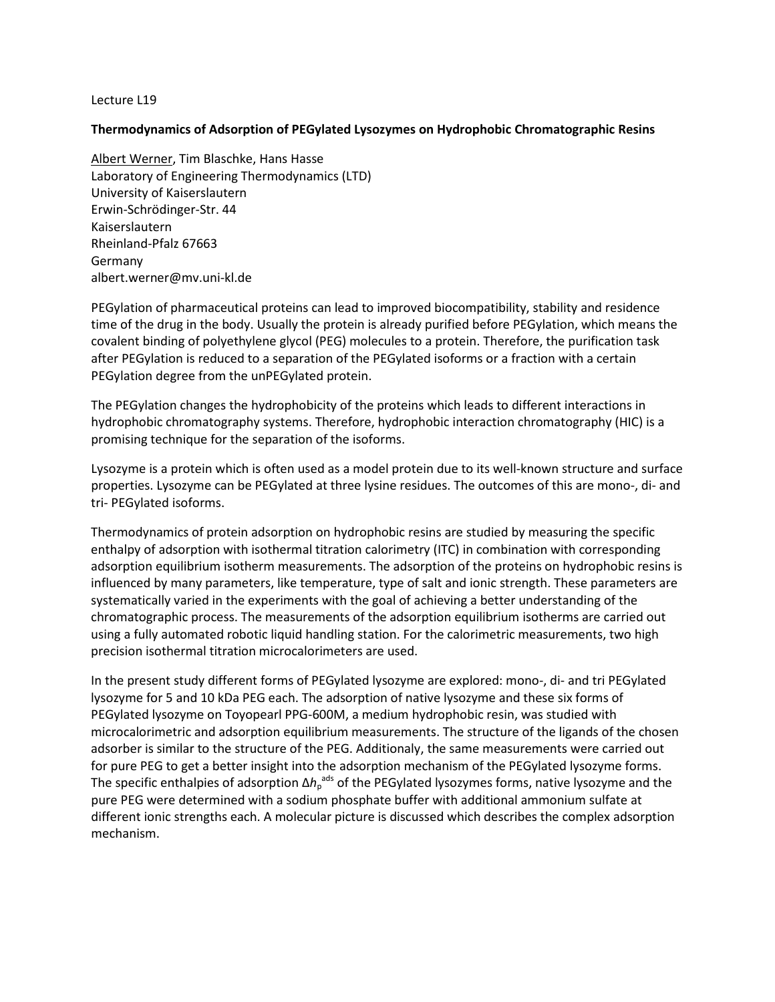# **Thermodynamics of Adsorption of PEGylated Lysozymes on Hydrophobic Chromatographic Resins**

Albert Werner, Tim Blaschke, Hans Hasse Laboratory of Engineering Thermodynamics (LTD) University of Kaiserslautern Erwin-Schrödinger-Str. 44 Kaiserslautern Rheinland-Pfalz 67663 Germany [albert.werner@mv.uni-kl.de](mailto:albert.werner@mv.uni-kl.de)

PEGylation of pharmaceutical proteins can lead to improved biocompatibility, stability and residence time of the drug in the body. Usually the protein is already purified before PEGylation, which means the covalent binding of polyethylene glycol (PEG) molecules to a protein. Therefore, the purification task after PEGylation is reduced to a separation of the PEGylated isoforms or a fraction with a certain PEGylation degree from the unPEGylated protein.

The PEGylation changes the hydrophobicity of the proteins which leads to different interactions in hydrophobic chromatography systems. Therefore, hydrophobic interaction chromatography (HIC) is a promising technique for the separation of the isoforms.

Lysozyme is a protein which is often used as a model protein due to its well-known structure and surface properties. Lysozyme can be PEGylated at three lysine residues. The outcomes of this are mono-, di- and tri- PEGylated isoforms.

Thermodynamics of protein adsorption on hydrophobic resins are studied by measuring the specific enthalpy of adsorption with isothermal titration calorimetry (ITC) in combination with corresponding adsorption equilibrium isotherm measurements. The adsorption of the proteins on hydrophobic resins is influenced by many parameters, like temperature, type of salt and ionic strength. These parameters are systematically varied in the experiments with the goal of achieving a better understanding of the chromatographic process. The measurements of the adsorption equilibrium isotherms are carried out using a fully automated robotic liquid handling station. For the calorimetric measurements, two high precision isothermal titration microcalorimeters are used.

In the present study different forms of PEGylated lysozyme are explored: mono-, di- and tri PEGylated lysozyme for 5 and 10 kDa PEG each. The adsorption of native lysozyme and these six forms of PEGylated lysozyme on Toyopearl PPG-600M, a medium hydrophobic resin, was studied with microcalorimetric and adsorption equilibrium measurements. The structure of the ligands of the chosen adsorber is similar to the structure of the PEG. Additionaly, the same measurements were carried out for pure PEG to get a better insight into the adsorption mechanism of the PEGylated lysozyme forms. The specific enthalpies of adsorption Δh<sub>p</sub><sup>ads</sup> of the PEGylated lysozymes forms, native lysozyme and the pure PEG were determined with a sodium phosphate buffer with additional ammonium sulfate at different ionic strengths each. A molecular picture is discussed which describes the complex adsorption mechanism.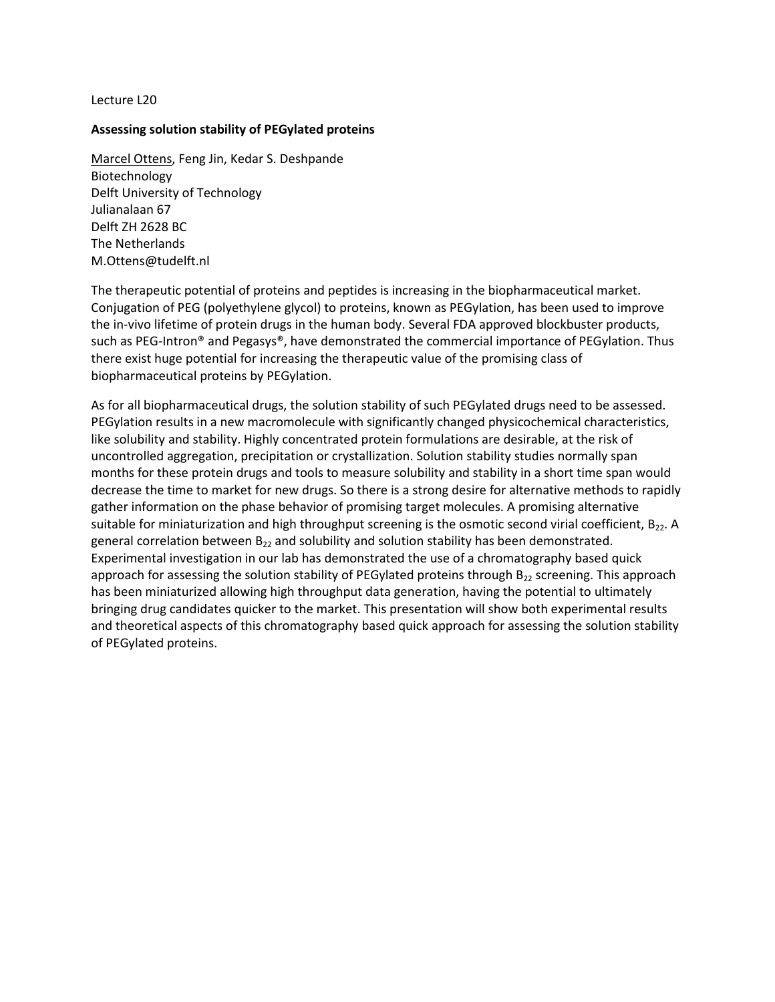#### **Assessing solution stability of PEGylated proteins**

Marcel Ottens, Feng Jin, Kedar S. Deshpande Biotechnology Delft University of Technology Julianalaan 67 Delft ZH 2628 BC The Netherlands [M.Ottens@tudelft.nl](mailto:M.Ottens@tudelft.nl)

The therapeutic potential of proteins and peptides is increasing in the biopharmaceutical market. Conjugation of PEG (polyethylene glycol) to proteins, known as PEGylation, has been used to improve the in-vivo lifetime of protein drugs in the human body. Several FDA approved blockbuster products, such as PEG-Intron® and Pegasys®, have demonstrated the commercial importance of PEGylation. Thus there exist huge potential for increasing the therapeutic value of the promising class of biopharmaceutical proteins by PEGylation.

As for all biopharmaceutical drugs, the solution stability of such PEGylated drugs need to be assessed. PEGylation results in a new macromolecule with significantly changed physicochemical characteristics, like solubility and stability. Highly concentrated protein formulations are desirable, at the risk of uncontrolled aggregation, precipitation or crystallization. Solution stability studies normally span months for these protein drugs and tools to measure solubility and stability in a short time span would decrease the time to market for new drugs. So there is a strong desire for alternative methods to rapidly gather information on the phase behavior of promising target molecules. A promising alternative suitable for miniaturization and high throughput screening is the osmotic second virial coefficient, B<sub>22</sub>. A general correlation between  $B_{22}$  and solubility and solution stability has been demonstrated. Experimental investigation in our lab has demonstrated the use of a chromatography based quick approach for assessing the solution stability of PEGylated proteins through  $B_{22}$  screening. This approach has been miniaturized allowing high throughput data generation, having the potential to ultimately bringing drug candidates quicker to the market. This presentation will show both experimental results and theoretical aspects of this chromatography based quick approach for assessing the solution stability of PEGylated proteins.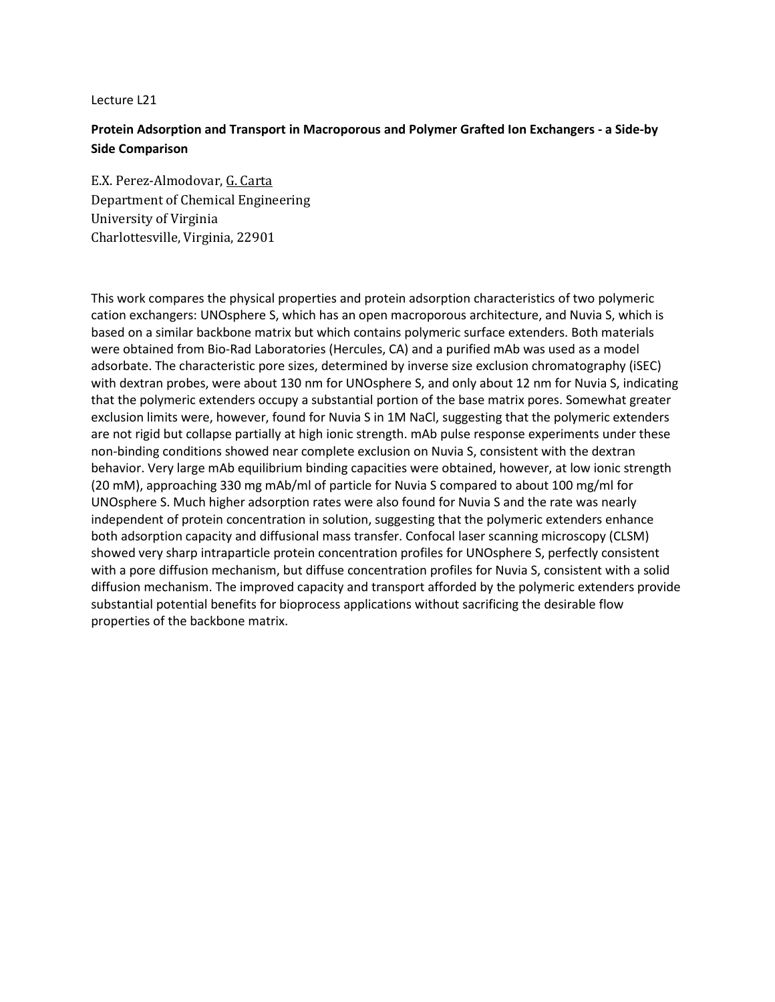# **Protein Adsorption and Transport in Macroporous and Polymer Grafted Ion Exchangers - a Side-by Side Comparison**

E.X. Perez-Almodovar, G. Carta Department of Chemical Engineering University of Virginia Charlottesville, Virginia, 22901

This work compares the physical properties and protein adsorption characteristics of two polymeric cation exchangers: UNOsphere S, which has an open macroporous architecture, and Nuvia S, which is based on a similar backbone matrix but which contains polymeric surface extenders. Both materials were obtained from Bio-Rad Laboratories (Hercules, CA) and a purified mAb was used as a model adsorbate. The characteristic pore sizes, determined by inverse size exclusion chromatography (iSEC) with dextran probes, were about 130 nm for UNOsphere S, and only about 12 nm for Nuvia S, indicating that the polymeric extenders occupy a substantial portion of the base matrix pores. Somewhat greater exclusion limits were, however, found for Nuvia S in 1M NaCl, suggesting that the polymeric extenders are not rigid but collapse partially at high ionic strength. mAb pulse response experiments under these non-binding conditions showed near complete exclusion on Nuvia S, consistent with the dextran behavior. Very large mAb equilibrium binding capacities were obtained, however, at low ionic strength (20 mM), approaching 330 mg mAb/ml of particle for Nuvia S compared to about 100 mg/ml for UNOsphere S. Much higher adsorption rates were also found for Nuvia S and the rate was nearly independent of protein concentration in solution, suggesting that the polymeric extenders enhance both adsorption capacity and diffusional mass transfer. Confocal laser scanning microscopy (CLSM) showed very sharp intraparticle protein concentration profiles for UNOsphere S, perfectly consistent with a pore diffusion mechanism, but diffuse concentration profiles for Nuvia S, consistent with a solid diffusion mechanism. The improved capacity and transport afforded by the polymeric extenders provide substantial potential benefits for bioprocess applications without sacrificing the desirable flow properties of the backbone matrix.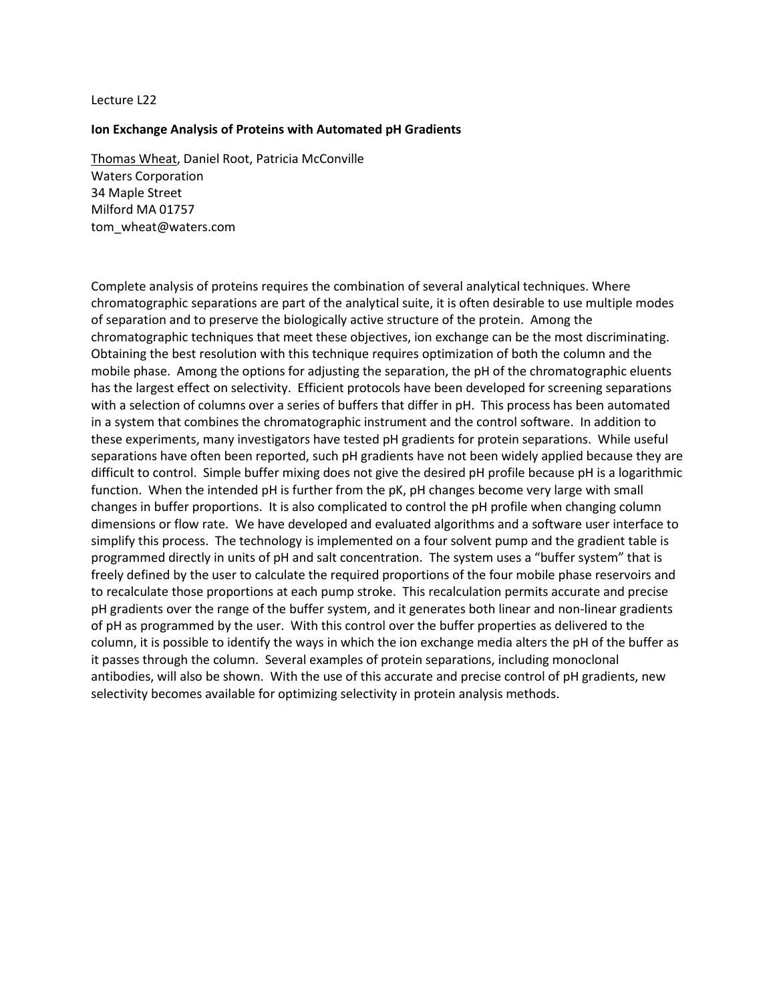#### **Ion Exchange Analysis of Proteins with Automated pH Gradients**

Thomas Wheat, Daniel Root, Patricia McConville Waters Corporation 34 Maple Street Milford MA 01757 [tom\\_wheat@waters.com](mailto:tom_wheat@waters.com)

Complete analysis of proteins requires the combination of several analytical techniques. Where chromatographic separations are part of the analytical suite, it is often desirable to use multiple modes of separation and to preserve the biologically active structure of the protein. Among the chromatographic techniques that meet these objectives, ion exchange can be the most discriminating. Obtaining the best resolution with this technique requires optimization of both the column and the mobile phase. Among the options for adjusting the separation, the pH of the chromatographic eluents has the largest effect on selectivity. Efficient protocols have been developed for screening separations with a selection of columns over a series of buffers that differ in pH. This process has been automated in a system that combines the chromatographic instrument and the control software. In addition to these experiments, many investigators have tested pH gradients for protein separations. While useful separations have often been reported, such pH gradients have not been widely applied because they are difficult to control. Simple buffer mixing does not give the desired pH profile because pH is a logarithmic function. When the intended pH is further from the pK, pH changes become very large with small changes in buffer proportions. It is also complicated to control the pH profile when changing column dimensions or flow rate. We have developed and evaluated algorithms and a software user interface to simplify this process. The technology is implemented on a four solvent pump and the gradient table is programmed directly in units of pH and salt concentration. The system uses a "buffer system" that is freely defined by the user to calculate the required proportions of the four mobile phase reservoirs and to recalculate those proportions at each pump stroke. This recalculation permits accurate and precise pH gradients over the range of the buffer system, and it generates both linear and non-linear gradients of pH as programmed by the user. With this control over the buffer properties as delivered to the column, it is possible to identify the ways in which the ion exchange media alters the pH of the buffer as it passes through the column. Several examples of protein separations, including monoclonal antibodies, will also be shown. With the use of this accurate and precise control of pH gradients, new selectivity becomes available for optimizing selectivity in protein analysis methods.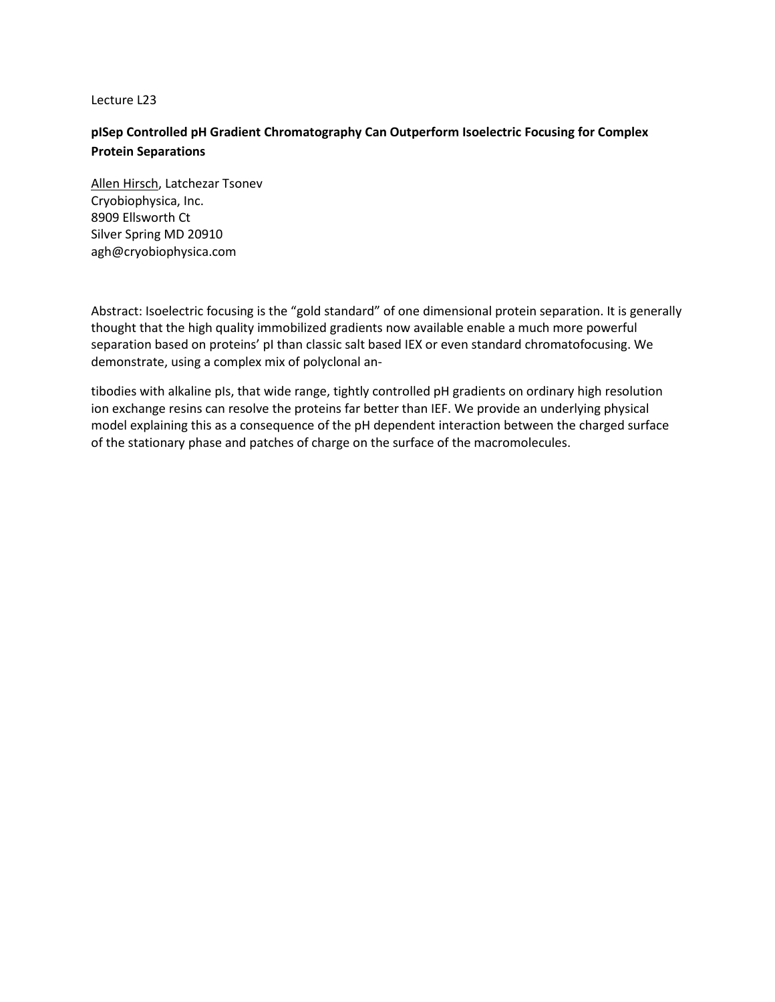# **pISep Controlled pH Gradient Chromatography Can Outperform Isoelectric Focusing for Complex Protein Separations**

Allen Hirsch, Latchezar Tsonev Cryobiophysica, Inc. 8909 Ellsworth Ct Silver Spring MD 20910 [agh@cryobiophysica.com](mailto:agh@cryobiophysica.com)

Abstract: Isoelectric focusing is the "gold standard" of one dimensional protein separation. It is generally thought that the high quality immobilized gradients now available enable a much more powerful separation based on proteins' pI than classic salt based IEX or even standard chromatofocusing. We demonstrate, using a complex mix of polyclonal an-

tibodies with alkaline pIs, that wide range, tightly controlled pH gradients on ordinary high resolution ion exchange resins can resolve the proteins far better than IEF. We provide an underlying physical model explaining this as a consequence of the pH dependent interaction between the charged surface of the stationary phase and patches of charge on the surface of the macromolecules.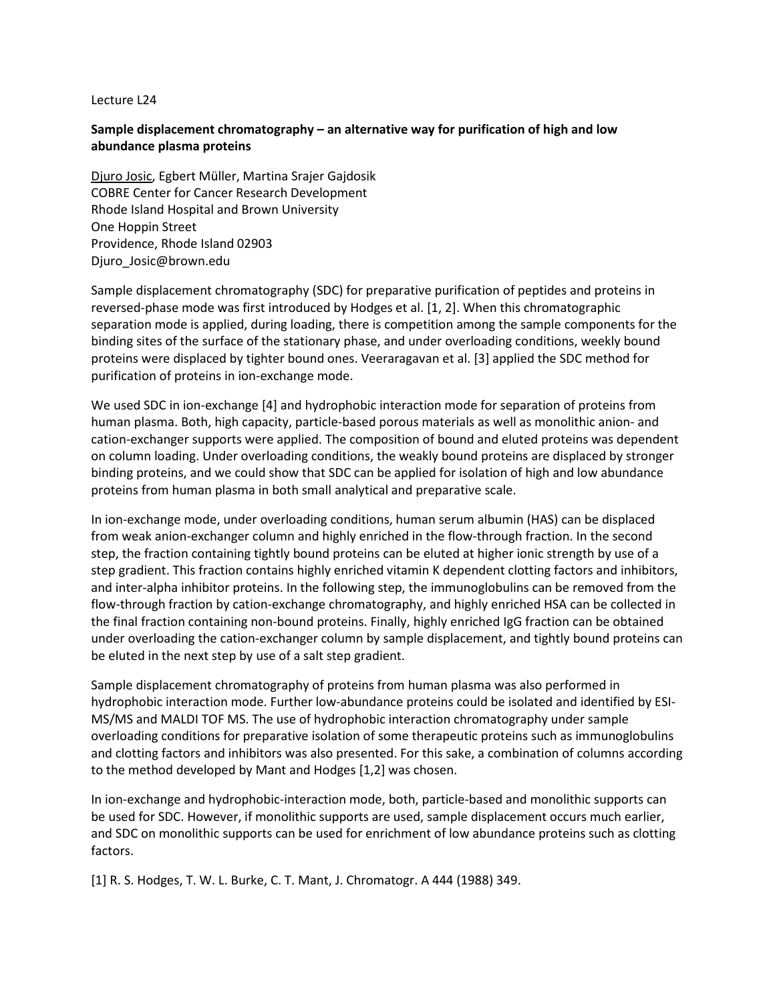# **Sample displacement chromatography – an alternative way for purification of high and low abundance plasma proteins**

Djuro Josic, Egbert Müller, Martina Srajer Gajdosik COBRE Center for Cancer Research Development Rhode Island Hospital and Brown University One Hoppin Street Providence, Rhode Island 02903 Djuro\_Josic@brown.edu

Sample displacement chromatography (SDC) for preparative purification of peptides and proteins in reversed-phase mode was first introduced by Hodges et al. [1, 2]. When this chromatographic separation mode is applied, during loading, there is competition among the sample components for the binding sites of the surface of the stationary phase, and under overloading conditions, weekly bound proteins were displaced by tighter bound ones. Veeraragavan et al. [3] applied the SDC method for purification of proteins in ion-exchange mode.

We used SDC in ion-exchange [4] and hydrophobic interaction mode for separation of proteins from human plasma. Both, high capacity, particle-based porous materials as well as monolithic anion- and cation-exchanger supports were applied. The composition of bound and eluted proteins was dependent on column loading. Under overloading conditions, the weakly bound proteins are displaced by stronger binding proteins, and we could show that SDC can be applied for isolation of high and low abundance proteins from human plasma in both small analytical and preparative scale.

In ion-exchange mode, under overloading conditions, human serum albumin (HAS) can be displaced from weak anion-exchanger column and highly enriched in the flow-through fraction. In the second step, the fraction containing tightly bound proteins can be eluted at higher ionic strength by use of a step gradient. This fraction contains highly enriched vitamin K dependent clotting factors and inhibitors, and inter-alpha inhibitor proteins. In the following step, the immunoglobulins can be removed from the flow-through fraction by cation-exchange chromatography, and highly enriched HSA can be collected in the final fraction containing non-bound proteins. Finally, highly enriched IgG fraction can be obtained under overloading the cation-exchanger column by sample displacement, and tightly bound proteins can be eluted in the next step by use of a salt step gradient.

Sample displacement chromatography of proteins from human plasma was also performed in hydrophobic interaction mode. Further low-abundance proteins could be isolated and identified by ESI-MS/MS and MALDI TOF MS. The use of hydrophobic interaction chromatography under sample overloading conditions for preparative isolation of some therapeutic proteins such as immunoglobulins and clotting factors and inhibitors was also presented. For this sake, a combination of columns according to the method developed by Mant and Hodges [1,2] was chosen.

In ion-exchange and hydrophobic-interaction mode, both, particle-based and monolithic supports can be used for SDC. However, if monolithic supports are used, sample displacement occurs much earlier, and SDC on monolithic supports can be used for enrichment of low abundance proteins such as clotting factors.

[1] R. S. Hodges, T. W. L. Burke, C. T. Mant, J. Chromatogr. A 444 (1988) 349.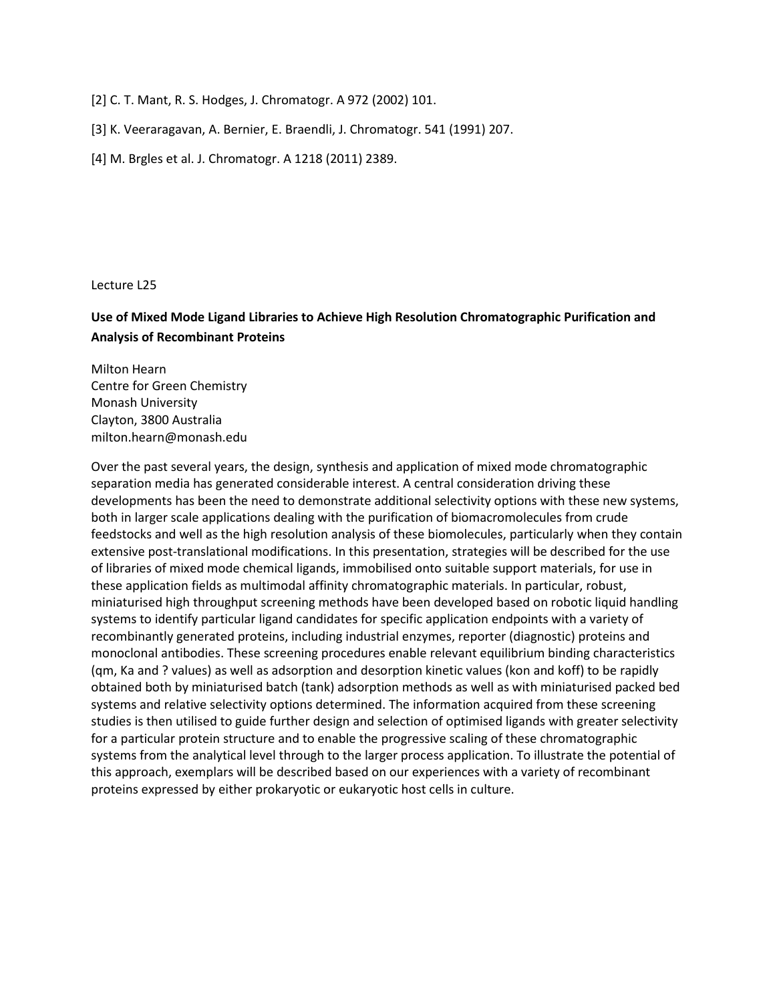- [2] C. T. Mant, R. S. Hodges, J. Chromatogr. A 972 (2002) 101.
- [3] K. Veeraragavan, A. Bernier, E. Braendli, J. Chromatogr. 541 (1991) 207.
- [4] M. Brgles et al. J. Chromatogr. A 1218 (2011) 2389.

# **Use of Mixed Mode Ligand Libraries to Achieve High Resolution Chromatographic Purification and Analysis of Recombinant Proteins**

Milton Hearn Centre for Green Chemistry Monash University Clayton, 3800 Australia milton.hearn@monash.edu

Over the past several years, the design, synthesis and application of mixed mode chromatographic separation media has generated considerable interest. A central consideration driving these developments has been the need to demonstrate additional selectivity options with these new systems, both in larger scale applications dealing with the purification of biomacromolecules from crude feedstocks and well as the high resolution analysis of these biomolecules, particularly when they contain extensive post-translational modifications. In this presentation, strategies will be described for the use of libraries of mixed mode chemical ligands, immobilised onto suitable support materials, for use in these application fields as multimodal affinity chromatographic materials. In particular, robust, miniaturised high throughput screening methods have been developed based on robotic liquid handling systems to identify particular ligand candidates for specific application endpoints with a variety of recombinantly generated proteins, including industrial enzymes, reporter (diagnostic) proteins and monoclonal antibodies. These screening procedures enable relevant equilibrium binding characteristics (qm, Ka and ? values) as well as adsorption and desorption kinetic values (kon and koff) to be rapidly obtained both by miniaturised batch (tank) adsorption methods as well as with miniaturised packed bed systems and relative selectivity options determined. The information acquired from these screening studies is then utilised to guide further design and selection of optimised ligands with greater selectivity for a particular protein structure and to enable the progressive scaling of these chromatographic systems from the analytical level through to the larger process application. To illustrate the potential of this approach, exemplars will be described based on our experiences with a variety of recombinant proteins expressed by either prokaryotic or eukaryotic host cells in culture.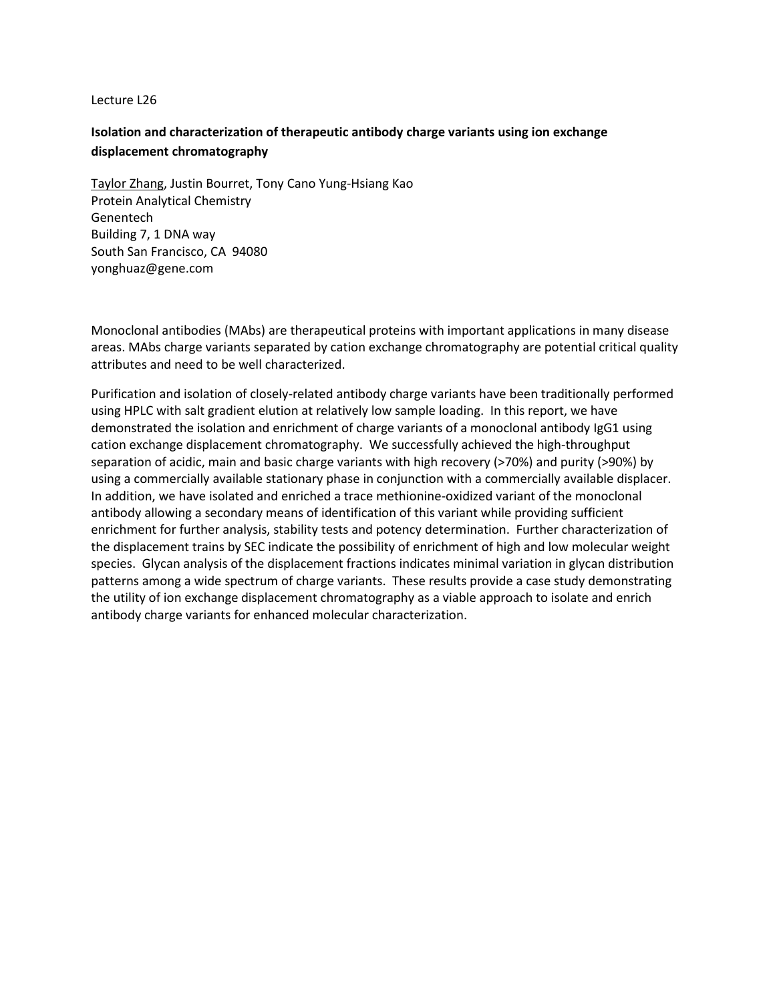# **Isolation and characterization of therapeutic antibody charge variants using ion exchange displacement chromatography**

Taylor Zhang, Justin Bourret, Tony Cano Yung-Hsiang Kao Protein Analytical Chemistry Genentech Building 7, 1 DNA way South San Francisco, CA 94080 yonghuaz@gene.com

Monoclonal antibodies (MAbs) are therapeutical proteins with important applications in many disease areas. MAbs charge variants separated by cation exchange chromatography are potential critical quality attributes and need to be well characterized.

Purification and isolation of closely-related antibody charge variants have been traditionally performed using HPLC with salt gradient elution at relatively low sample loading. In this report, we have demonstrated the isolation and enrichment of charge variants of a monoclonal antibody IgG1 using cation exchange displacement chromatography. We successfully achieved the high-throughput separation of acidic, main and basic charge variants with high recovery (>70%) and purity (>90%) by using a commercially available stationary phase in conjunction with a commercially available displacer. In addition, we have isolated and enriched a trace methionine-oxidized variant of the monoclonal antibody allowing a secondary means of identification of this variant while providing sufficient enrichment for further analysis, stability tests and potency determination. Further characterization of the displacement trains by SEC indicate the possibility of enrichment of high and low molecular weight species. Glycan analysis of the displacement fractions indicates minimal variation in glycan distribution patterns among a wide spectrum of charge variants. These results provide a case study demonstrating the utility of ion exchange displacement chromatography as a viable approach to isolate and enrich antibody charge variants for enhanced molecular characterization.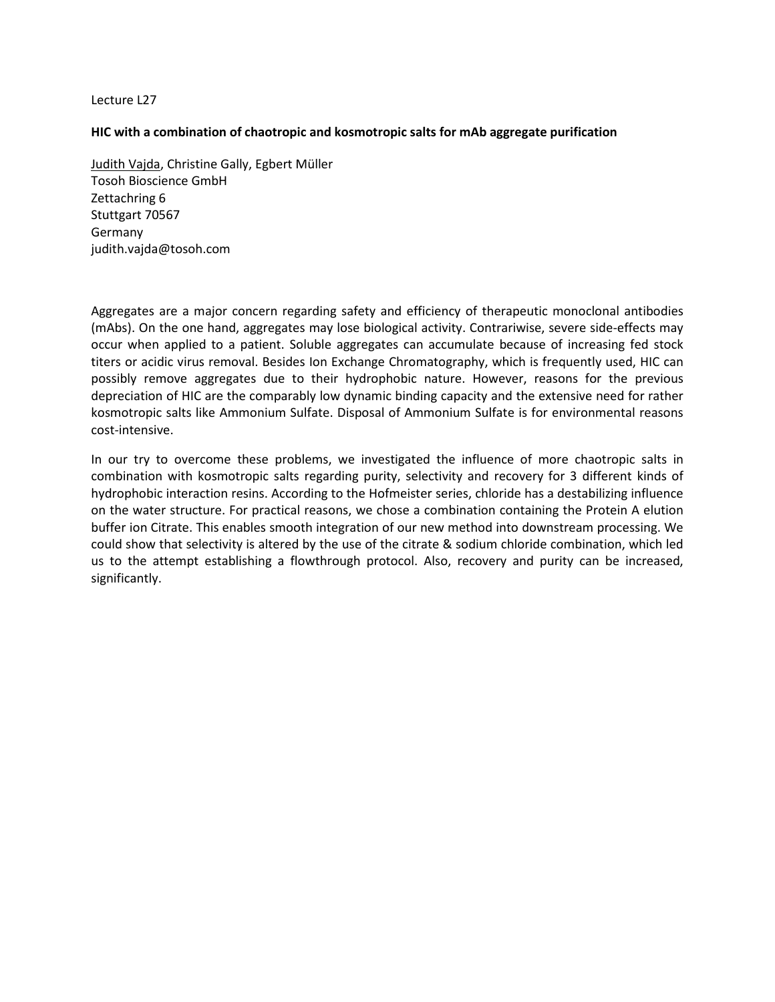# **HIC with a combination of chaotropic and kosmotropic salts for mAb aggregate purification**

Judith Vajda, Christine Gally, Egbert Müller Tosoh Bioscience GmbH Zettachring 6 Stuttgart 70567 Germany judith.vajda@tosoh.com

Aggregates are a major concern regarding safety and efficiency of therapeutic monoclonal antibodies (mAbs). On the one hand, aggregates may lose biological activity. Contrariwise, severe side-effects may occur when applied to a patient. Soluble aggregates can accumulate because of increasing fed stock titers or acidic virus removal. Besides Ion Exchange Chromatography, which is frequently used, HIC can possibly remove aggregates due to their hydrophobic nature. However, reasons for the previous depreciation of HIC are the comparably low dynamic binding capacity and the extensive need for rather kosmotropic salts like Ammonium Sulfate. Disposal of Ammonium Sulfate is for environmental reasons cost-intensive.

In our try to overcome these problems, we investigated the influence of more chaotropic salts in combination with kosmotropic salts regarding purity, selectivity and recovery for 3 different kinds of hydrophobic interaction resins. According to the Hofmeister series, chloride has a destabilizing influence on the water structure. For practical reasons, we chose a combination containing the Protein A elution buffer ion Citrate. This enables smooth integration of our new method into downstream processing. We could show that selectivity is altered by the use of the citrate & sodium chloride combination, which led us to the attempt establishing a flowthrough protocol. Also, recovery and purity can be increased, significantly.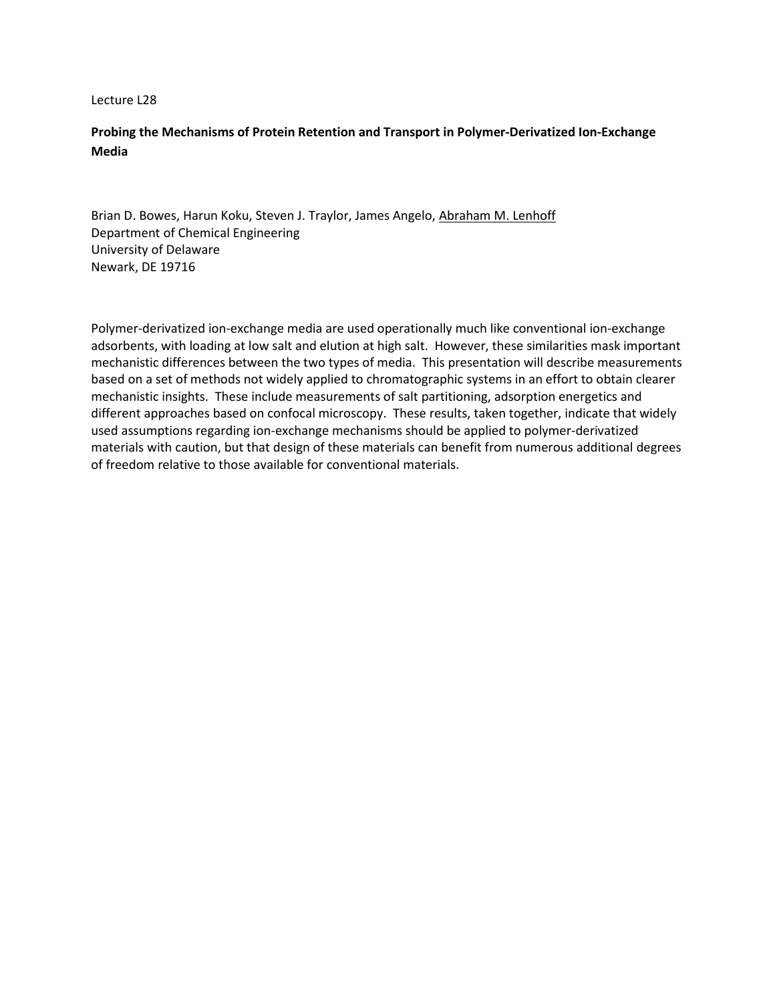# **Probing the Mechanisms of Protein Retention and Transport in Polymer-Derivatized Ion-Exchange Media**

Brian D. Bowes, Harun Koku, Steven J. Traylor, James Angelo, Abraham M. Lenhoff Department of Chemical Engineering University of Delaware Newark, DE 19716

Polymer-derivatized ion-exchange media are used operationally much like conventional ion-exchange adsorbents, with loading at low salt and elution at high salt. However, these similarities mask important mechanistic differences between the two types of media. This presentation will describe measurements based on a set of methods not widely applied to chromatographic systems in an effort to obtain clearer mechanistic insights. These include measurements of salt partitioning, adsorption energetics and different approaches based on confocal microscopy. These results, taken together, indicate that widely used assumptions regarding ion-exchange mechanisms should be applied to polymer-derivatized materials with caution, but that design of these materials can benefit from numerous additional degrees of freedom relative to those available for conventional materials.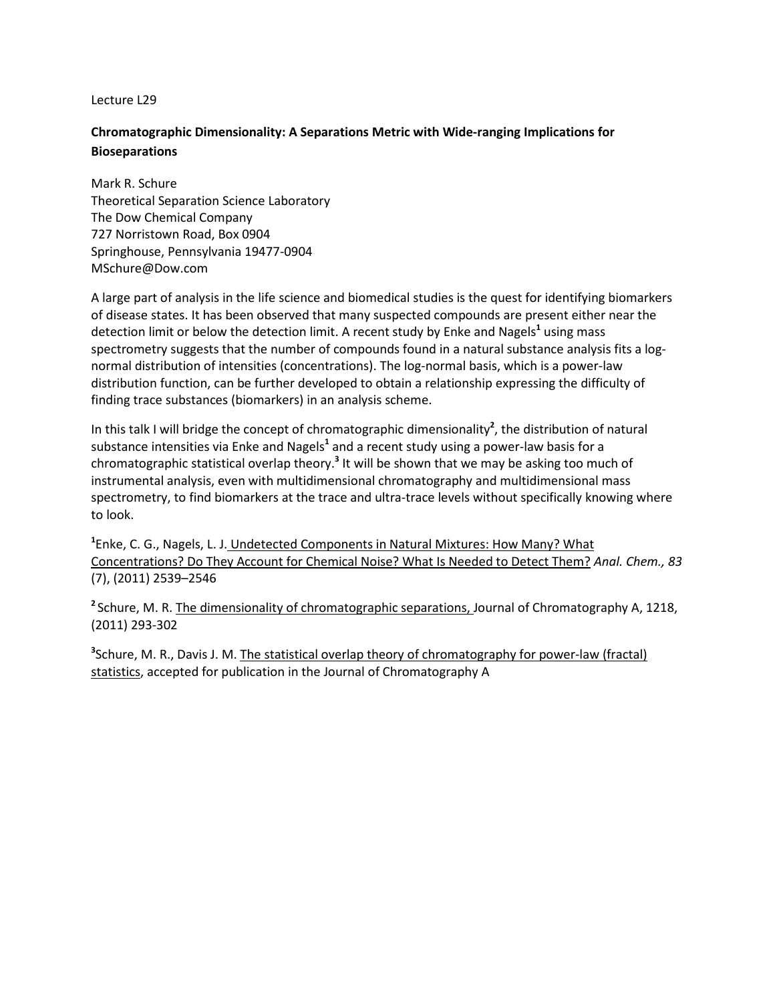# **Chromatographic Dimensionality: A Separations Metric with Wide-ranging Implications for Bioseparations**

Mark R. Schure Theoretical Separation Science Laboratory The Dow Chemical Company 727 Norristown Road, Box 0904 Springhouse, Pennsylvania 19477-0904 MSchure@Dow.com

A large part of analysis in the life science and biomedical studies is the quest for identifying biomarkers of disease states. It has been observed that many suspected compounds are present either near the detection limit or below the detection limit. A recent study by Enke and Nagels**<sup>1</sup>** using mass spectrometry suggests that the number of compounds found in a natural substance analysis fits a lognormal distribution of intensities (concentrations). The log-normal basis, which is a power-law distribution function, can be further developed to obtain a relationship expressing the difficulty of finding trace substances (biomarkers) in an analysis scheme.

In this talk I will bridge the concept of chromatographic dimensionality**<sup>2</sup>** , the distribution of natural substance intensities via Enke and Nagels**<sup>1</sup>** and a recent study using a power-law basis for a chromatographic statistical overlap theory.**<sup>3</sup>** It will be shown that we may be asking too much of instrumental analysis, even with multidimensional chromatography and multidimensional mass spectrometry, to find biomarkers at the trace and ultra-trace levels without specifically knowing where to look.

**1** Enke, C. G., Nagels, L. J. Undetected Components in Natural Mixtures: How Many? What Concentrations? Do They Account for Chemical Noise? What Is Needed to Detect Them? *Anal. Chem., 83* (7), (2011) 2539–2546

**<sup>2</sup>**Schure, M. R. The dimensionality of chromatographic separations, Journal of Chromatography A, 1218, (2011) 293-302

**3** Schure, M. R., Davis J. M. The statistical overlap theory of chromatography for power-law (fractal) statistics, accepted for publication in the Journal of Chromatography A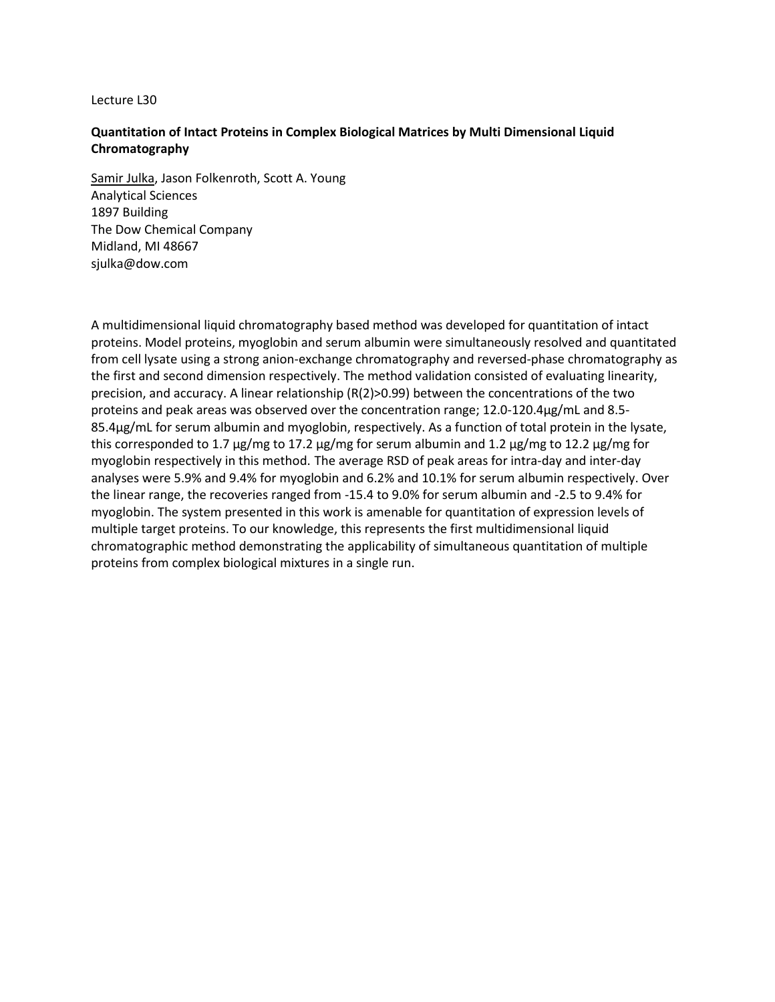# **Quantitation of Intact Proteins in Complex Biological Matrices by Multi Dimensional Liquid Chromatography**

Samir Julka, Jason Folkenroth, Scott A. Young Analytical Sciences 1897 Building The Dow Chemical Company Midland, MI 48667 sjulka@dow.com

A multidimensional liquid chromatography based method was developed for quantitation of intact proteins. Model proteins, myoglobin and serum albumin were simultaneously resolved and quantitated from cell lysate using a strong anion-exchange chromatography and reversed-phase chromatography as the first and second dimension respectively. The method validation consisted of evaluating linearity, precision, and accuracy. A linear relationship (R(2)>0.99) between the concentrations of the two proteins and peak areas was observed over the concentration range; 12.0-120.4μg/mL and 8.5- 85.4μg/mL for serum albumin and myoglobin, respectively. As a function of total protein in the lysate, this corresponded to 1.7 μg/mg to 17.2 μg/mg for serum albumin and 1.2 μg/mg to 12.2 μg/mg for myoglobin respectively in this method. The average RSD of peak areas for intra-day and inter-day analyses were 5.9% and 9.4% for myoglobin and 6.2% and 10.1% for serum albumin respectively. Over the linear range, the recoveries ranged from -15.4 to 9.0% for serum albumin and -2.5 to 9.4% for myoglobin. The system presented in this work is amenable for quantitation of expression levels of multiple target proteins. To our knowledge, this represents the first multidimensional liquid chromatographic method demonstrating the applicability of simultaneous quantitation of multiple proteins from complex biological mixtures in a single run.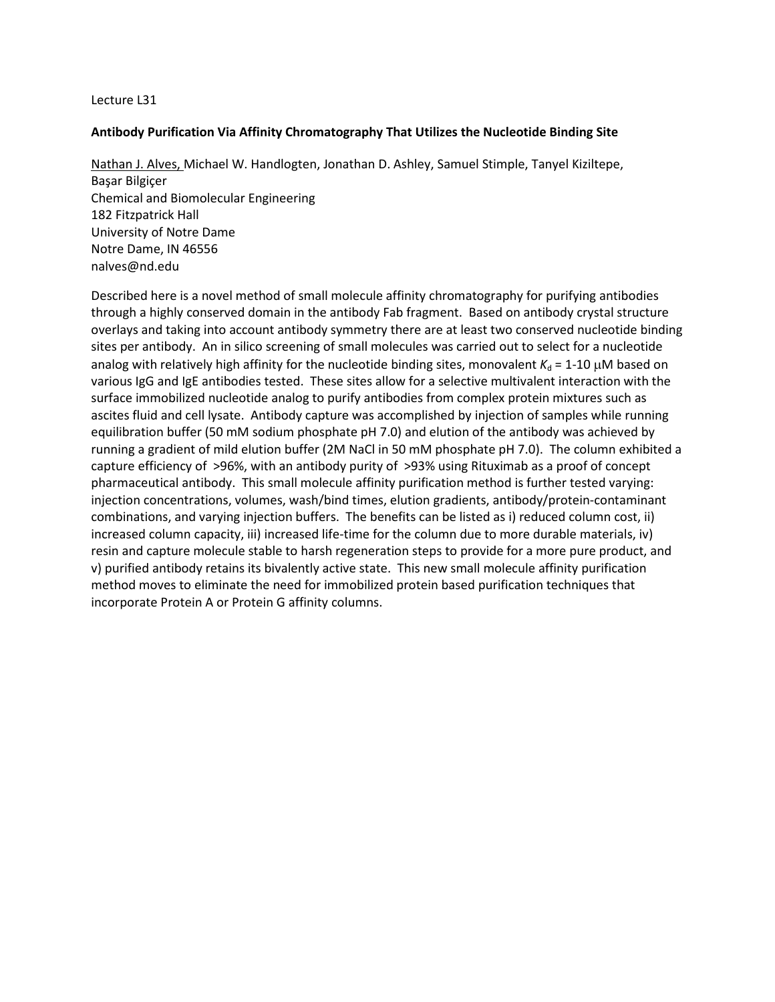# **Antibody Purification Via Affinity Chromatography That Utilizes the Nucleotide Binding Site**

Nathan J. Alves, Michael W. Handlogten, Jonathan D. Ashley, Samuel Stimple, Tanyel Kiziltepe, Başar Bilgiçer Chemical and Biomolecular Engineering 182 Fitzpatrick Hall University of Notre Dame Notre Dame, IN 46556 [nalves@nd.edu](mailto:nalves@nd.edu)

Described here is a novel method of small molecule affinity chromatography for purifying antibodies through a highly conserved domain in the antibody Fab fragment. Based on antibody crystal structure overlays and taking into account antibody symmetry there are at least two conserved nucleotide binding sites per antibody. An in silico screening of small molecules was carried out to select for a nucleotide analog with relatively high affinity for the nucleotide binding sites, monovalent  $K_d = 1-10 \mu M$  based on various IgG and IgE antibodies tested. These sites allow for a selective multivalent interaction with the surface immobilized nucleotide analog to purify antibodies from complex protein mixtures such as ascites fluid and cell lysate. Antibody capture was accomplished by injection of samples while running equilibration buffer (50 mM sodium phosphate pH 7.0) and elution of the antibody was achieved by running a gradient of mild elution buffer (2M NaCl in 50 mM phosphate pH 7.0). The column exhibited a capture efficiency of >96%, with an antibody purity of >93% using Rituximab as a proof of concept pharmaceutical antibody. This small molecule affinity purification method is further tested varying: injection concentrations, volumes, wash/bind times, elution gradients, antibody/protein-contaminant combinations, and varying injection buffers. The benefits can be listed as i) reduced column cost, ii) increased column capacity, iii) increased life-time for the column due to more durable materials, iv) resin and capture molecule stable to harsh regeneration steps to provide for a more pure product, and v) purified antibody retains its bivalently active state. This new small molecule affinity purification method moves to eliminate the need for immobilized protein based purification techniques that incorporate Protein A or Protein G affinity columns.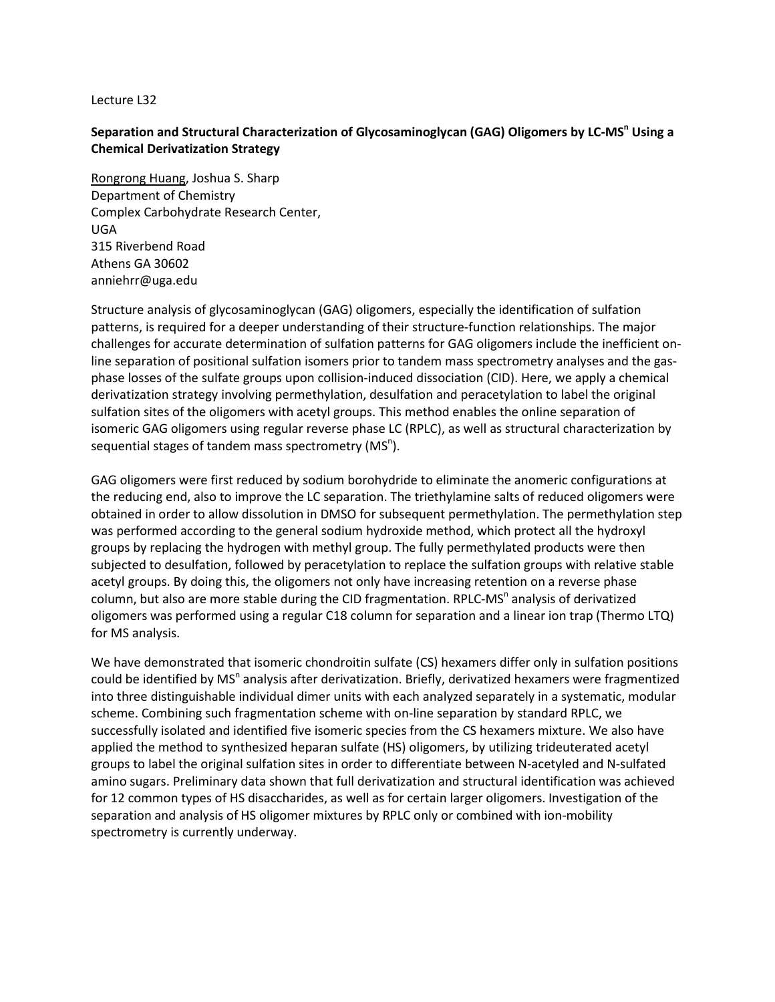# Separation and Structural Characterization of Glycosaminoglycan (GAG) Oligomers by LC-MS<sup>n</sup> Using a **Chemical Derivatization Strategy**

Rongrong Huang, Joshua S. Sharp Department of Chemistry Complex Carbohydrate Research Center, UGA 315 Riverbend Road Athens GA 30602 anniehrr@uga.edu

Structure analysis of glycosaminoglycan (GAG) oligomers, especially the identification of sulfation patterns, is required for a deeper understanding of their structure-function relationships. The major challenges for accurate determination of sulfation patterns for GAG oligomers include the inefficient online separation of positional sulfation isomers prior to tandem mass spectrometry analyses and the gasphase losses of the sulfate groups upon collision-induced dissociation (CID). Here, we apply a chemical derivatization strategy involving permethylation, desulfation and peracetylation to label the original sulfation sites of the oligomers with acetyl groups. This method enables the online separation of isomeric GAG oligomers using regular reverse phase LC (RPLC), as well as structural characterization by sequential stages of tandem mass spectrometry ( $MS<sup>n</sup>$ ).

GAG oligomers were first reduced by sodium borohydride to eliminate the anomeric configurations at the reducing end, also to improve the LC separation. The triethylamine salts of reduced oligomers were obtained in order to allow dissolution in DMSO for subsequent permethylation. The permethylation step was performed according to the general sodium hydroxide method, which protect all the hydroxyl groups by replacing the hydrogen with methyl group. The fully permethylated products were then subjected to desulfation, followed by peracetylation to replace the sulfation groups with relative stable acetyl groups. By doing this, the oligomers not only have increasing retention on a reverse phase column, but also are more stable during the CID fragmentation. RPLC-MS<sup>n</sup> analysis of derivatized oligomers was performed using a regular C18 column for separation and a linear ion trap (Thermo LTQ) for MS analysis.

We have demonstrated that isomeric chondroitin sulfate (CS) hexamers differ only in sulfation positions could be identified by MS<sup>n</sup> analysis after derivatization. Briefly, derivatized hexamers were fragmentized into three distinguishable individual dimer units with each analyzed separately in a systematic, modular scheme. Combining such fragmentation scheme with on-line separation by standard RPLC, we successfully isolated and identified five isomeric species from the CS hexamers mixture. We also have applied the method to synthesized heparan sulfate (HS) oligomers, by utilizing trideuterated acetyl groups to label the original sulfation sites in order to differentiate between N-acetyled and N-sulfated amino sugars. Preliminary data shown that full derivatization and structural identification was achieved for 12 common types of HS disaccharides, as well as for certain larger oligomers. Investigation of the separation and analysis of HS oligomer mixtures by RPLC only or combined with ion-mobility spectrometry is currently underway.